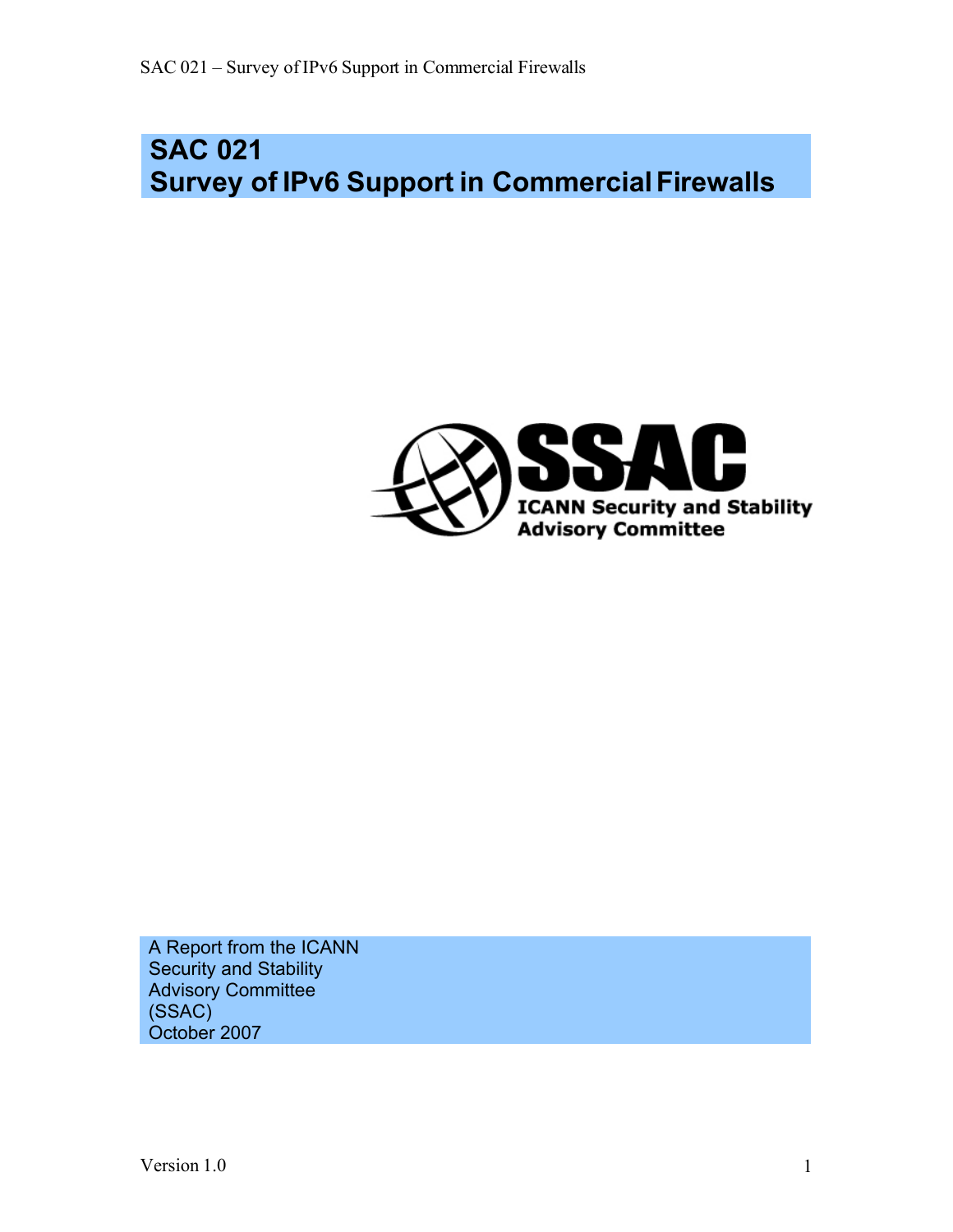# **SAC 021 Survey of IPv6 Support in Commercial Firewalls**



A Report from the ICANN Security and Stability Advisory Committee (SSAC) October 2007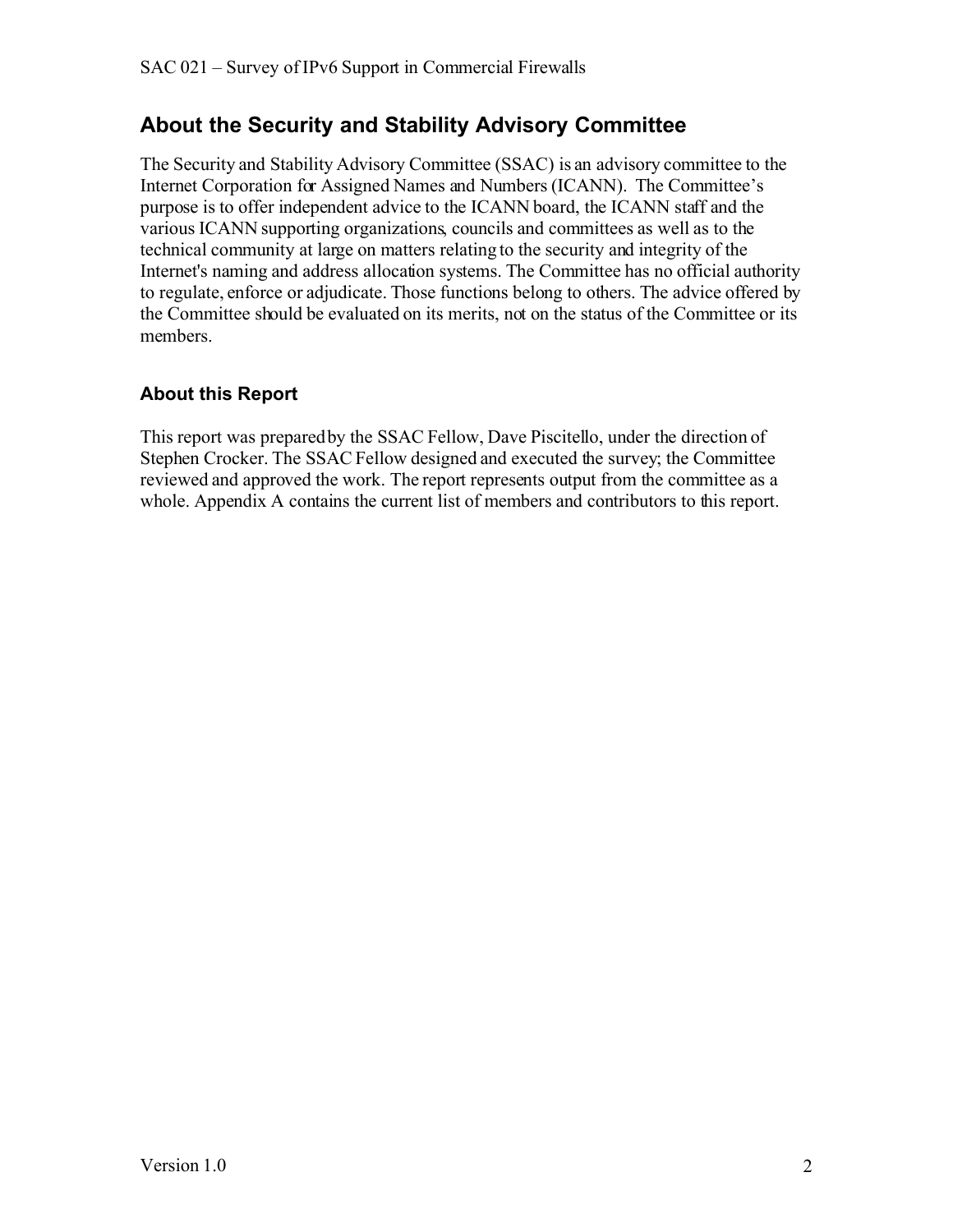#### **About the Security and Stability Advisory Committee**

The Security and Stability Advisory Committee (SSAC) is an advisory committee to the Internet Corporation for Assigned Names and Numbers (ICANN). The Committee's purpose is to offer independent advice to the ICANN board, the ICANN staff and the various ICANN supporting organizations, councils and committees as well as to the technical community at large on matters relating to the security and integrity of the Internet's naming and address allocation systems. The Committee has no official authority to regulate, enforce or adjudicate. Those functions belong to others. The advice offered by the Committee should be evaluated on its merits, not on the status of the Committee or its members.

#### **About this Report**

This report was prepared by the SSAC Fellow, Dave Piscitello, under the direction of Stephen Crocker. The SSAC Fellow designed and executed the survey; the Committee reviewed and approved the work. The report represents output from the committee as a whole. Appendix A contains the current list of members and contributors to this report.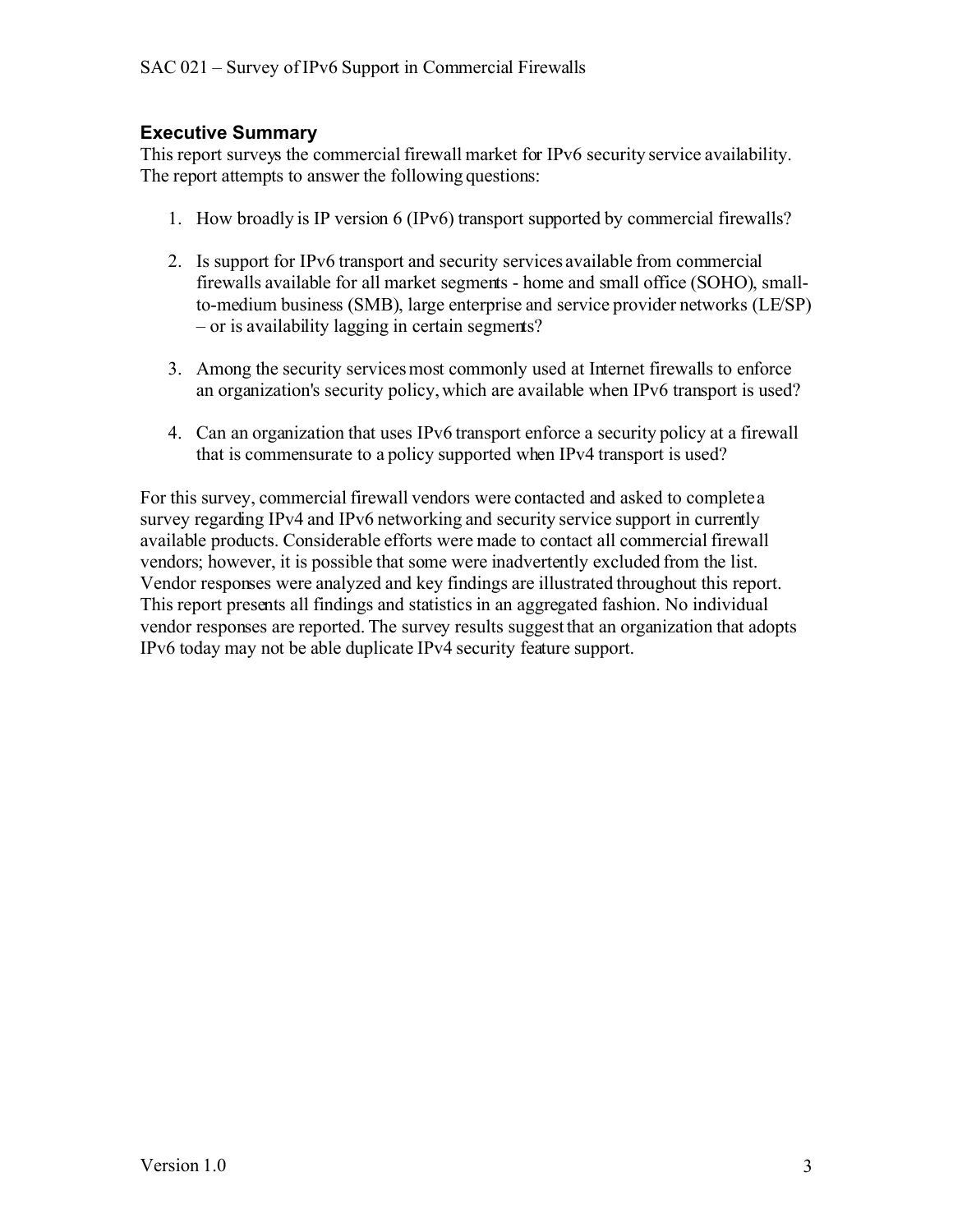#### **Executive Summary**

This report surveys the commercial firewall market for IPv6 security service availability. The report attempts to answer the following questions:

- 1. How broadly is IP version 6 (IPv6) transport supported by commercial firewalls?
- 2. Is support for IPv6 transport and security services available from commercial firewalls available for all market segments - home and small office (SOHO), smallto-medium business (SMB), large enterprise and service provider networks (LE/SP) – or is availability lagging in certain segments?
- 3. Among the security services most commonly used at Internet firewalls to enforce an organization's security policy, which are available when IPv6 transport is used?
- 4. Can an organization that uses IPv6 transport enforce a security policy at a firewall that is commensurate to a policy supported when IPv4 transport is used?

For this survey, commercial firewall vendors were contacted and asked to complete a survey regarding IPv4 and IPv6 networking and security service support in currently available products. Considerable efforts were made to contact all commercial firewall vendors; however, it is possible that some were inadvertently excluded from the list. Vendor responses were analyzed and key findings are illustrated throughout this report. This report presents all findings and statistics in an aggregated fashion. No individual vendor responses are reported. The survey results suggestthat an organization that adopts IPv6 today may not be able duplicate IPv4 security feature support.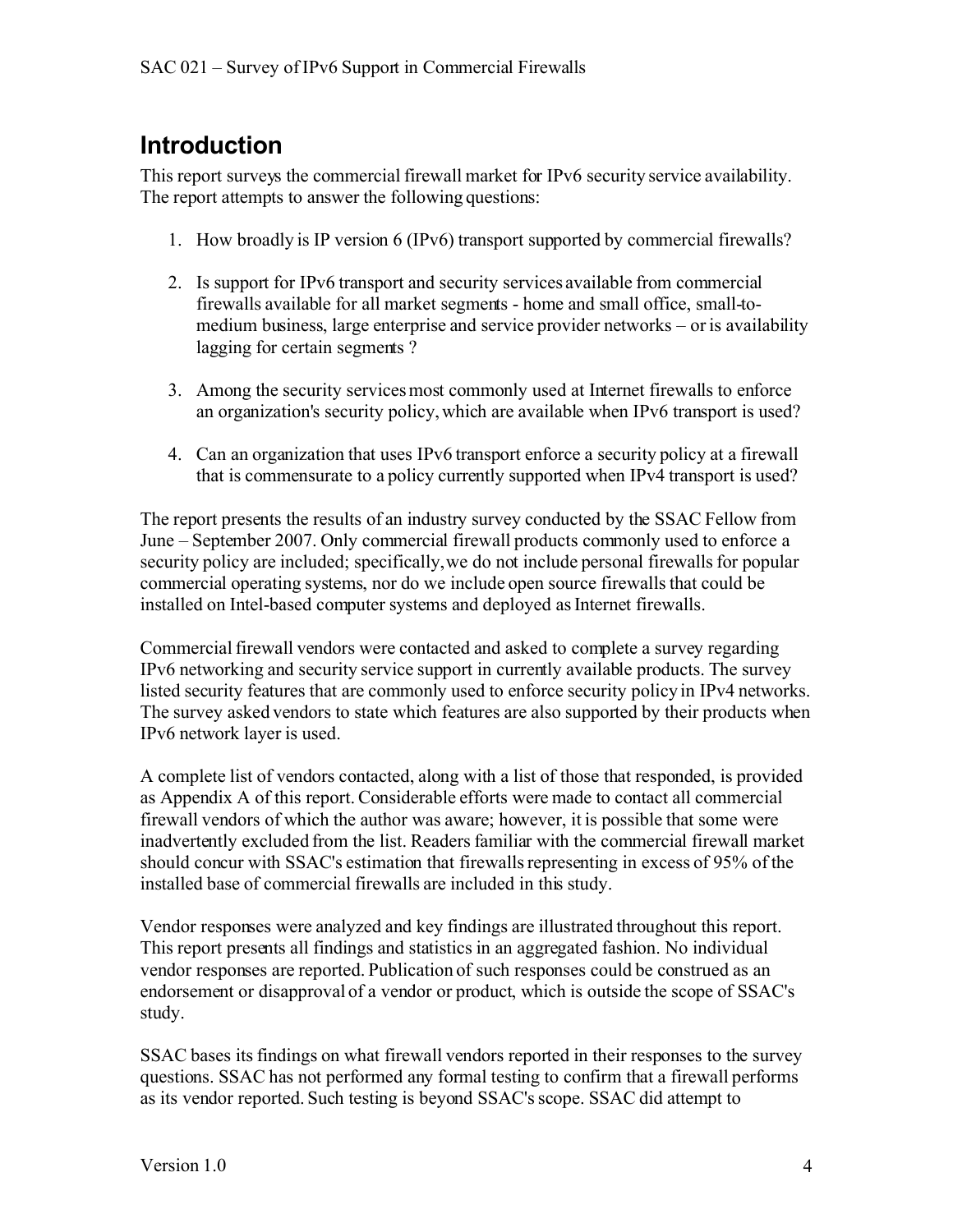## **Introduction**

This report surveys the commercial firewall market for IPv6 security service availability. The report attempts to answer the following questions:

- 1. How broadly is IP version 6 (IPv6) transport supported by commercial firewalls?
- 2. Is support for IPv6 transport and security services available from commercial firewalls available for all market segments - home and small office, small-tomedium business, large enterprise and service provider networks – or is availability lagging for certain segments ?
- 3. Among the security services most commonly used at Internet firewalls to enforce an organization's security policy, which are available when IPv6 transport is used?
- 4. Can an organization that uses IPv6 transport enforce a security policy at a firewall that is commensurate to a policy currently supported when IPv4 transport is used?

The report presents the results of an industry survey conducted by the SSAC Fellow from June – September 2007. Only commercial firewall products commonly used to enforce a security policy are included; specifically,we do not include personal firewalls for popular commercial operating systems, nor do we include open source firewalls that could be installed on Intel-based computer systems and deployed as Internet firewalls.

Commercial firewall vendors were contacted and asked to complete a survey regarding IPv6 networking and security service support in currently available products. The survey listed security features that are commonly used to enforce security policy in IPv4 networks. The survey asked vendors to state which features are also supported by their products when IPv6 network layer is used.

A complete list of vendors contacted, along with a list of those that responded, is provided as Appendix A of this report. Considerable efforts were made to contact all commercial firewall vendors of which the author was aware; however, it is possible that some were inadvertently excluded from the list. Readers familiar with the commercial firewall market should concur with SSAC's estimation that firewalls representing in excess of 95% of the installed base of commercial firewalls are included in this study.

Vendor responses were analyzed and key findings are illustrated throughout this report. This report presents all findings and statistics in an aggregated fashion. No individual vendor responses are reported. Publication of such responses could be construed as an endorsement or disapproval of a vendor or product, which is outside the scope of SSAC's study.

SSAC bases its findings on what firewall vendors reported in their responses to the survey questions. SSAC has not performed any formal testing to confirm that a firewall performs as its vendor reported. Such testing is beyond SSAC's scope. SSAC did attempt to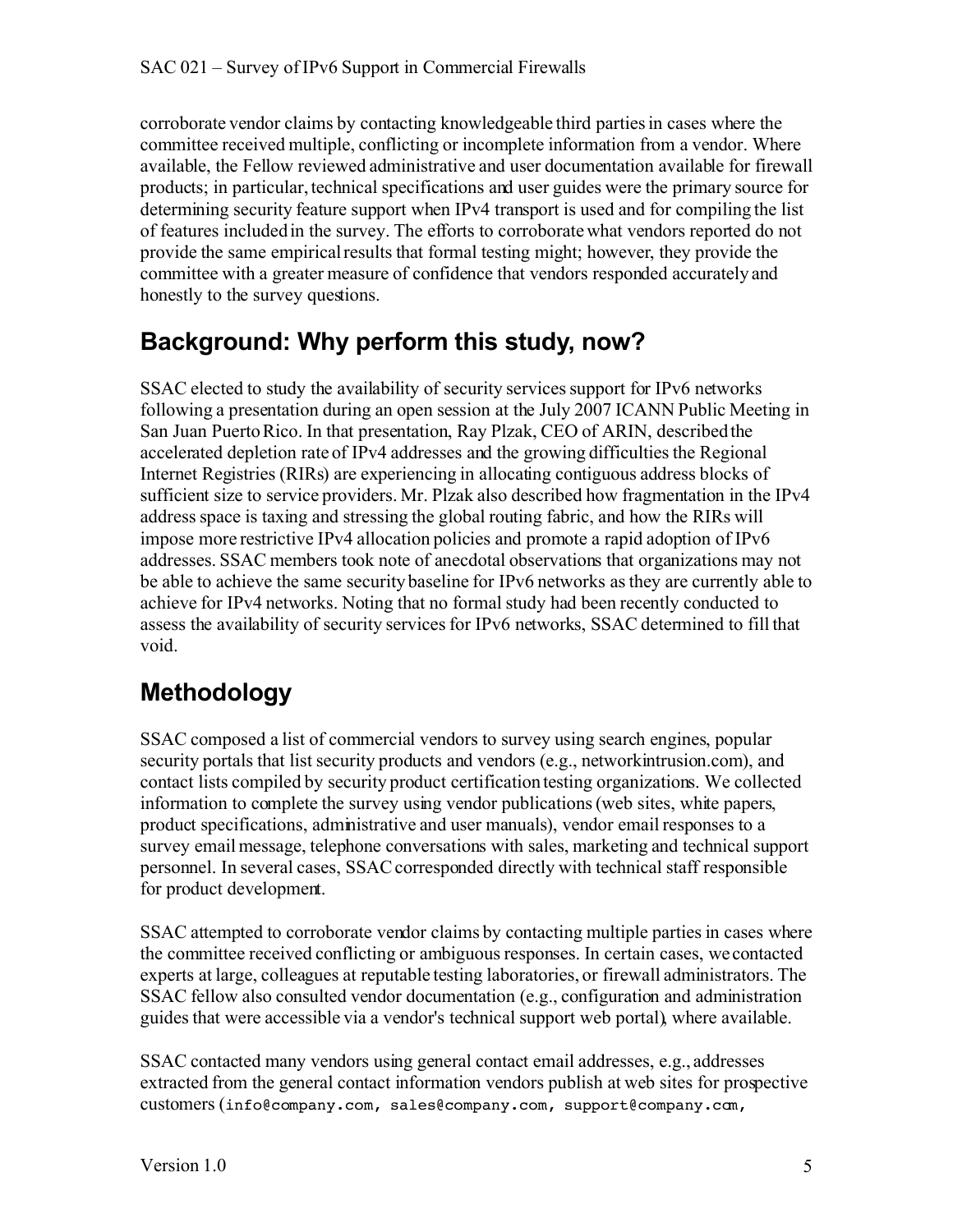corroborate vendor claims by contacting knowledgeable third parties in cases where the committee received multiple, conflicting or incomplete information from a vendor. Where available, the Fellow reviewed administrative and user documentation available for firewall products; in particular, technical specifications and user guides were the primary source for determining security feature support when IPv4 transport is used and for compiling the list of features included in the survey. The efforts to corroborate what vendors reported do not provide the same empirical results that formal testing might; however, they provide the committee with a greater measure of confidence that vendors responded accurately and honestly to the survey questions.

### **Background: Why perform this study, now?**

SSAC elected to study the availability of security services support for IPv6 networks following a presentation during an open session at the July 2007 ICANN Public Meeting in San Juan Puerto Rico. In that presentation, Ray Plzak, CEO of ARIN, described the accelerated depletion rate of IPv4 addresses and the growing difficulties the Regional Internet Registries (RIRs) are experiencing in allocating contiguous address blocks of sufficient size to service providers. Mr. Plzak also described how fragmentation in the IPv4 address space is taxing and stressing the global routing fabric, and how the RIRs will impose more restrictive IPv4 allocation policies and promote a rapid adoption of IPv6 addresses. SSAC members took note of anecdotal observations that organizations may not be able to achieve the same security baseline for IPv6 networks as they are currently able to achieve for IPv4 networks. Noting that no formal study had been recently conducted to assess the availability of security services for IPv6 networks, SSAC determined to fill that void.

## **Methodology**

SSAC composed a list of commercial vendors to survey using search engines, popular security portals that list security products and vendors (e.g., networkintrusion.com), and contact lists compiled by security product certification testing organizations. We collected information to complete the survey using vendor publications (web sites, white papers, product specifications, administrative and user manuals), vendor email responses to a survey email message, telephone conversations with sales, marketing and technical support personnel. In several cases, SSAC corresponded directly with technical staff responsible for product development.

SSAC attempted to corroborate vendor claims by contacting multiple parties in cases where the committee received conflicting or ambiguous responses. In certain cases, we contacted experts at large, colleagues at reputable testing laboratories, or firewall administrators. The SSAC fellow also consulted vendor documentation (e.g., configuration and administration guides that were accessible via a vendor's technical support web portal), where available.

SSAC contacted many vendors using general contact email addresses, e.g., addresses extracted from the general contact information vendors publish at web sites for prospective customers (info@company.com, sales@company.com, support@company.com,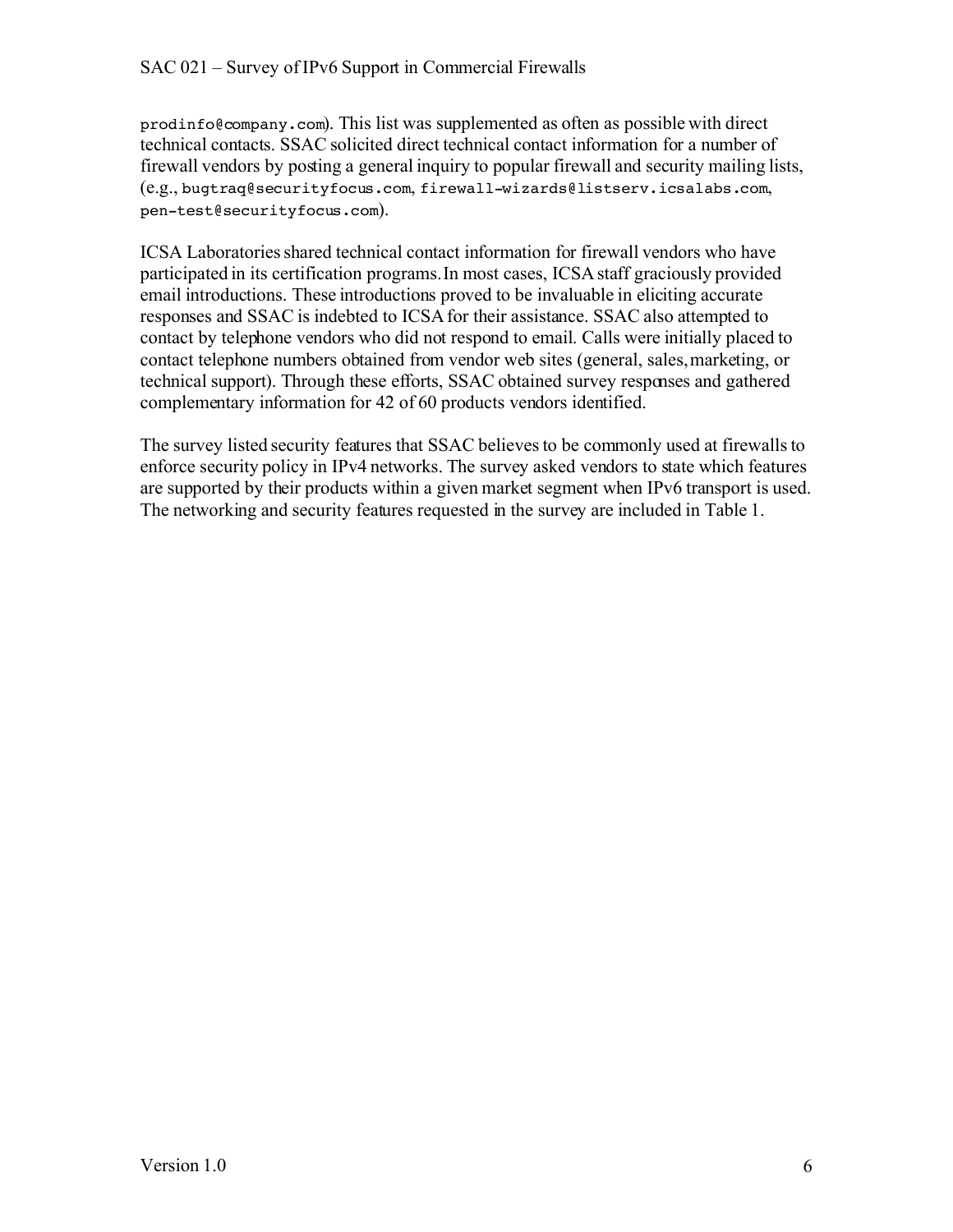#### SAC 021 – Survey of IPv6 Support in Commercial Firewalls

prodinfo@company.com). This list was supplemented as often as possible with direct technical contacts. SSAC solicited direct technical contact information for a number of firewall vendors by posting a general inquiry to popular firewall and security mailing lists, (e.g., bugtraq@securityfocus.com, firewall-wizards@listserv.icsalabs.com, pen-test@securityfocus.com).

ICSA Laboratories shared technical contact information for firewall vendors who have participated in its certification programs. In most cases, ICSA staff graciously provided email introductions. These introductions proved to be invaluable in eliciting accurate responses and SSAC is indebted to ICSA for their assistance. SSAC also attempted to contact by telephone vendors who did not respond to email. Calls were initially placed to contact telephone numbers obtained from vendor web sites (general, sales, marketing, or technical support). Through these efforts, SSAC obtained survey responses and gathered complementary information for 42 of 60 products vendors identified.

The survey listed security features that SSAC believes to be commonly used at firewalls to enforce security policy in IPv4 networks. The survey asked vendors to state which features are supported by their products within a given market segment when IPv6 transport is used. The networking and security features requested in the survey are included in Table 1.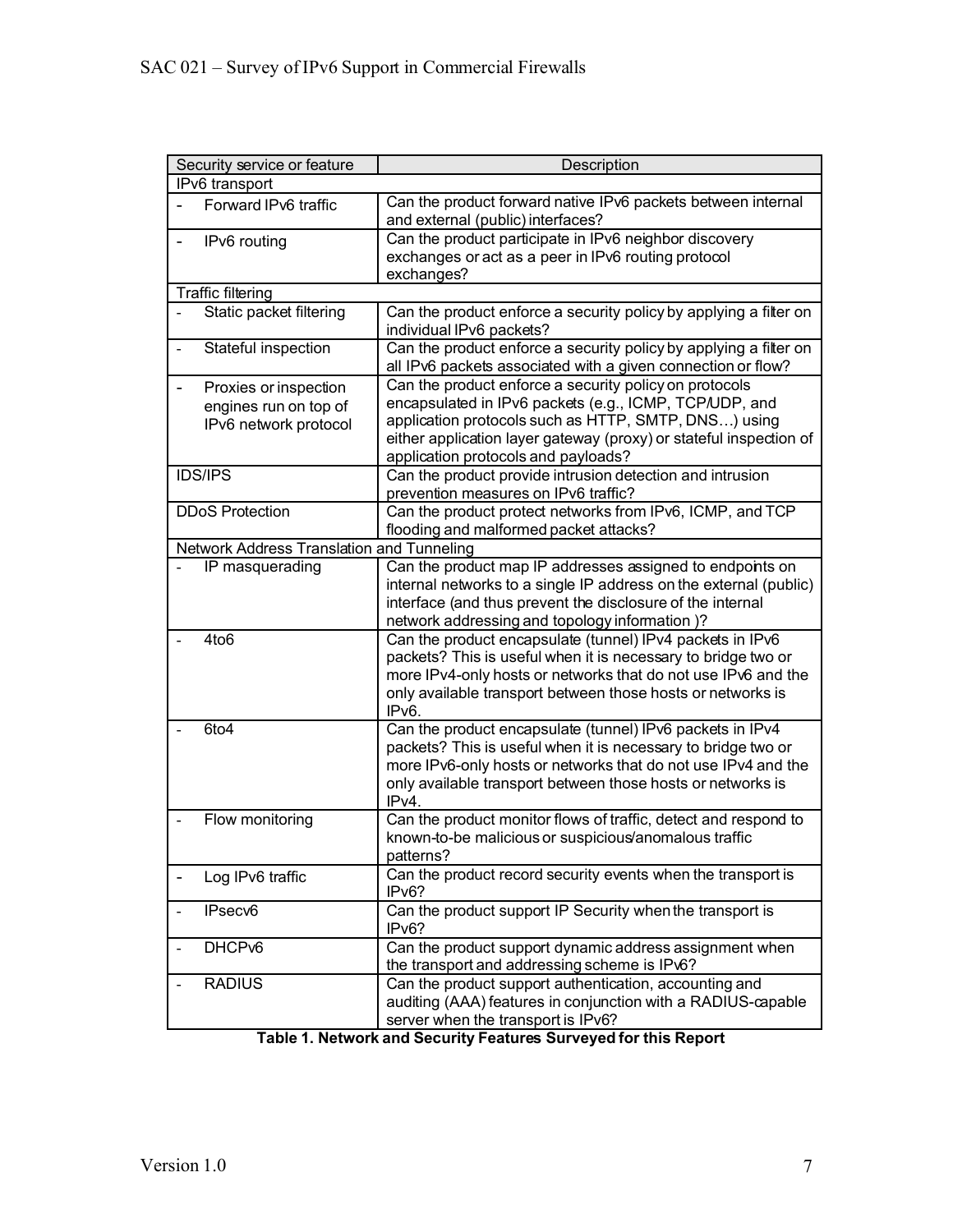| Security service or feature                                                         | Description                                                                                                                       |  |  |  |
|-------------------------------------------------------------------------------------|-----------------------------------------------------------------------------------------------------------------------------------|--|--|--|
| IPv6 transport                                                                      |                                                                                                                                   |  |  |  |
| Forward IPv6 traffic                                                                | Can the product forward native IPv6 packets between internal<br>and external (public) interfaces?                                 |  |  |  |
| IPv6 routing<br>$\overline{\phantom{a}}$                                            | Can the product participate in IPv6 neighbor discovery                                                                            |  |  |  |
|                                                                                     | exchanges or act as a peer in IPv6 routing protocol                                                                               |  |  |  |
|                                                                                     | exchanges?                                                                                                                        |  |  |  |
| <b>Traffic filtering</b>                                                            |                                                                                                                                   |  |  |  |
| Static packet filtering                                                             | Can the product enforce a security policy by applying a filter on<br>individual IPv6 packets?                                     |  |  |  |
| Stateful inspection                                                                 | Can the product enforce a security policy by applying a filter on<br>all IPv6 packets associated with a given connection or flow? |  |  |  |
| Proxies or inspection<br>$\qquad \qquad \blacksquare$                               | Can the product enforce a security policy on protocols                                                                            |  |  |  |
| engines run on top of                                                               | encapsulated in IPv6 packets (e.g., ICMP, TCP/UDP, and                                                                            |  |  |  |
| IPv6 network protocol                                                               | application protocols such as HTTP, SMTP, DNS) using                                                                              |  |  |  |
|                                                                                     | either application layer gateway (proxy) or stateful inspection of                                                                |  |  |  |
|                                                                                     | application protocols and payloads?                                                                                               |  |  |  |
| <b>IDS/IPS</b>                                                                      | Can the product provide intrusion detection and intrusion                                                                         |  |  |  |
|                                                                                     | prevention measures on IPv6 traffic?                                                                                              |  |  |  |
| <b>DDoS Protection</b>                                                              | Can the product protect networks from IPv6, ICMP, and TCP                                                                         |  |  |  |
| flooding and malformed packet attacks?<br>Network Address Translation and Tunneling |                                                                                                                                   |  |  |  |
|                                                                                     | Can the product map IP addresses assigned to endpoints on                                                                         |  |  |  |
| IP masquerading                                                                     | internal networks to a single IP address on the external (public)                                                                 |  |  |  |
|                                                                                     | interface (and thus prevent the disclosure of the internal                                                                        |  |  |  |
|                                                                                     | network addressing and topology information )?                                                                                    |  |  |  |
| 4to <sub>6</sub>                                                                    | Can the product encapsulate (tunnel) IPv4 packets in IPv6                                                                         |  |  |  |
|                                                                                     | packets? This is useful when it is necessary to bridge two or                                                                     |  |  |  |
|                                                                                     | more IPv4-only hosts or networks that do not use IPv6 and the                                                                     |  |  |  |
|                                                                                     | only available transport between those hosts or networks is                                                                       |  |  |  |
|                                                                                     | IPv6.                                                                                                                             |  |  |  |
| 6to4                                                                                | Can the product encapsulate (tunnel) IPv6 packets in IPv4                                                                         |  |  |  |
|                                                                                     | packets? This is useful when it is necessary to bridge two or                                                                     |  |  |  |
|                                                                                     | more IPv6-only hosts or networks that do not use IPv4 and the                                                                     |  |  |  |
|                                                                                     | only available transport between those hosts or networks is                                                                       |  |  |  |
|                                                                                     | IPv4.                                                                                                                             |  |  |  |
| Flow monitoring                                                                     | Can the product monitor flows of traffic, detect and respond to                                                                   |  |  |  |
|                                                                                     | known-to-be malicious or suspicious/anomalous traffic                                                                             |  |  |  |
|                                                                                     | patterns?                                                                                                                         |  |  |  |
| Log IPv6 traffic                                                                    | Can the product record security events when the transport is                                                                      |  |  |  |
|                                                                                     | IPv6?                                                                                                                             |  |  |  |
| IPsecv6                                                                             | Can the product support IP Security when the transport is<br>IPv6?                                                                |  |  |  |
| DHCP <sub>v6</sub>                                                                  | Can the product support dynamic address assignment when<br>the transport and addressing scheme is IPv6?                           |  |  |  |
| <b>RADIUS</b>                                                                       | Can the product support authentication, accounting and                                                                            |  |  |  |
|                                                                                     | auditing (AAA) features in conjunction with a RADIUS-capable                                                                      |  |  |  |
|                                                                                     | server when the transport is IPv6?                                                                                                |  |  |  |

**Table 1. Network and Security Features Surveyed for this Report**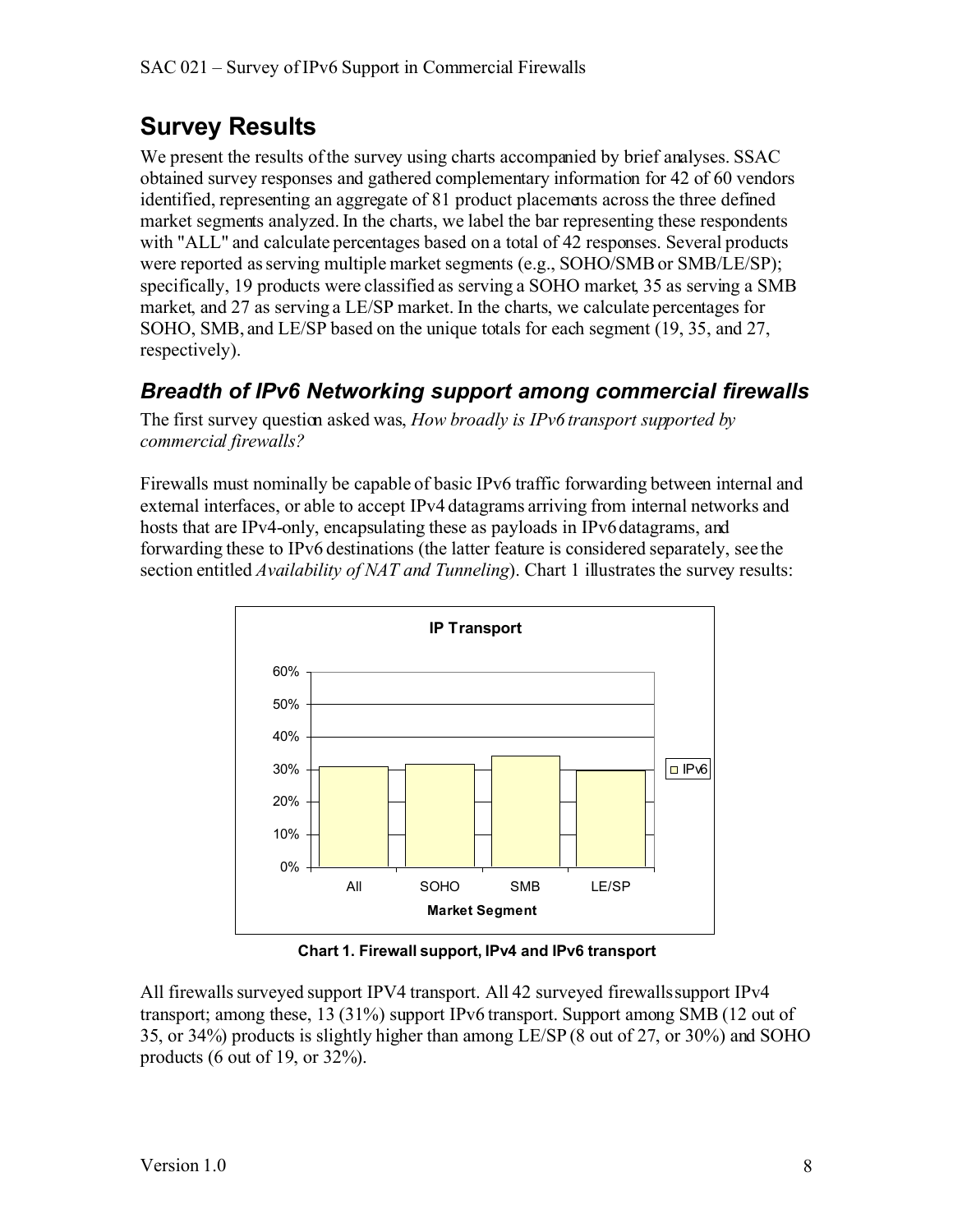# **Survey Results**

We present the results of the survey using charts accompanied by brief analyses. SSAC obtained survey responses and gathered complementary information for 42 of 60 vendors identified, representing an aggregate of 81 product placements across the three defined market segments analyzed. In the charts, we label the bar representing these respondents with "ALL" and calculate percentages based on a total of 42 responses. Several products were reported as serving multiple market segments (e.g., SOHO/SMB or SMB/LE/SP); specifically, 19 products were classified as serving a SOHO market, 35 as serving a SMB market, and 27 as serving a LE/SP market. In the charts, we calculate percentages for SOHO, SMB, and LE/SP based on the unique totals for each segment (19, 35, and 27, respectively).

#### *Breadth of IPv6 Networking support among commercial firewalls*

The first survey question asked was, *How broadly is IPv6 transport supported by commercial firewalls?*

Firewalls must nominally be capable of basic IPv6 traffic forwarding between internal and external interfaces, or able to accept IPv4 datagrams arriving from internal networks and hosts that are IPv4-only, encapsulating these as payloads in IPv6 datagrams, and forwarding these to IPv6 destinations (the latter feature is considered separately, see the section entitled *Availability of NAT and Tunneling*). Chart 1 illustrates the survey results:



**Chart 1. Firewall support, IPv4 and IPv6 transport**

All firewalls surveyed support IPV4 transport. All 42 surveyed firewalls support IPv4 transport; among these, 13 (31%) support IPv6 transport. Support among SMB (12 out of 35, or 34%) products is slightly higher than among LE/SP (8 out of 27, or 30%) and SOHO products (6 out of 19, or  $32\%$ ).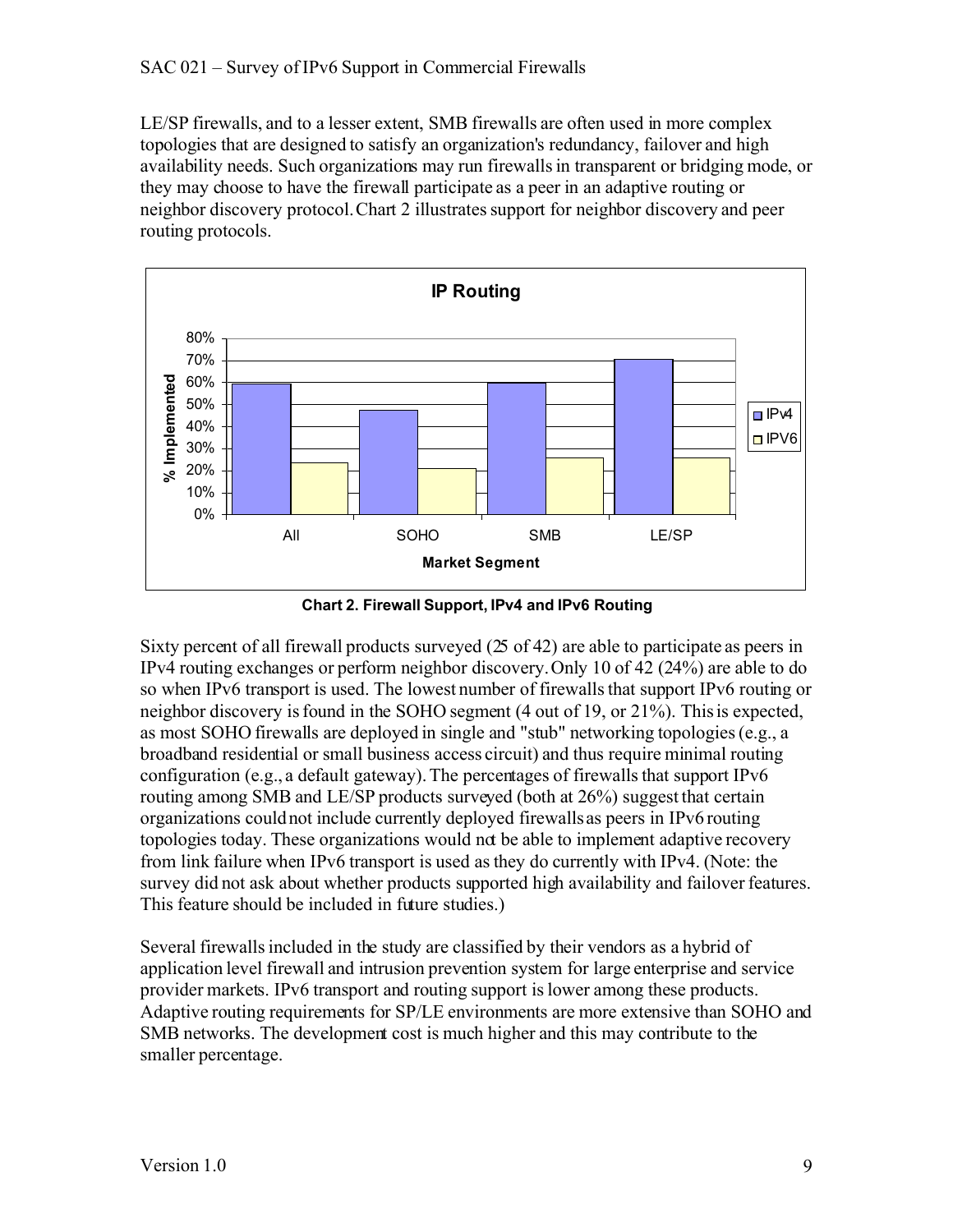LE/SP firewalls, and to a lesser extent, SMB firewalls are often used in more complex topologies that are designed to satisfy an organization's redundancy, failover and high availability needs. Such organizations may run firewallsin transparent or bridging mode, or they may choose to have the firewall participate as a peer in an adaptive routing or neighbor discovery protocol. Chart 2 illustrates support for neighbor discovery and peer routing protocols.



**Chart 2. Firewall Support, IPv4 and IPv6 Routing**

Sixty percent of all firewall products surveyed (25 of 42) are able to participate as peers in IPv4 routing exchanges or perform neighbor discovery. Only 10 of 42 (24%) are able to do so when IPv6 transport is used. The lowest number of firewalls that support IPv6 routing or neighbor discovery is found in the SOHO segment (4 out of 19, or 21%). This is expected, as most SOHO firewalls are deployed in single and "stub" networking topologies (e.g., a broadband residential or small business access circuit) and thus require minimal routing configuration (e.g., a default gateway). The percentages of firewalls that support IPv6 routing among SMB and LE/SP products surveyed (both at 26%) suggest that certain organizations could not include currently deployed firewalls as peers in IPv6 routing topologies today. These organizations would not be able to implement adaptive recovery from link failure when IPv6 transport is used as they do currently with IPv4. (Note: the survey did not ask about whether products supported high availability and failover features. This feature should be included in future studies.)

Several firewalls included in the study are classified by their vendors as a hybrid of application level firewall and intrusion prevention system for large enterprise and service provider markets. IPv6 transport and routing support is lower among these products. Adaptive routing requirements for SP/LE environments are more extensive than SOHO and SMB networks. The development cost is much higher and this may contribute to the smaller percentage.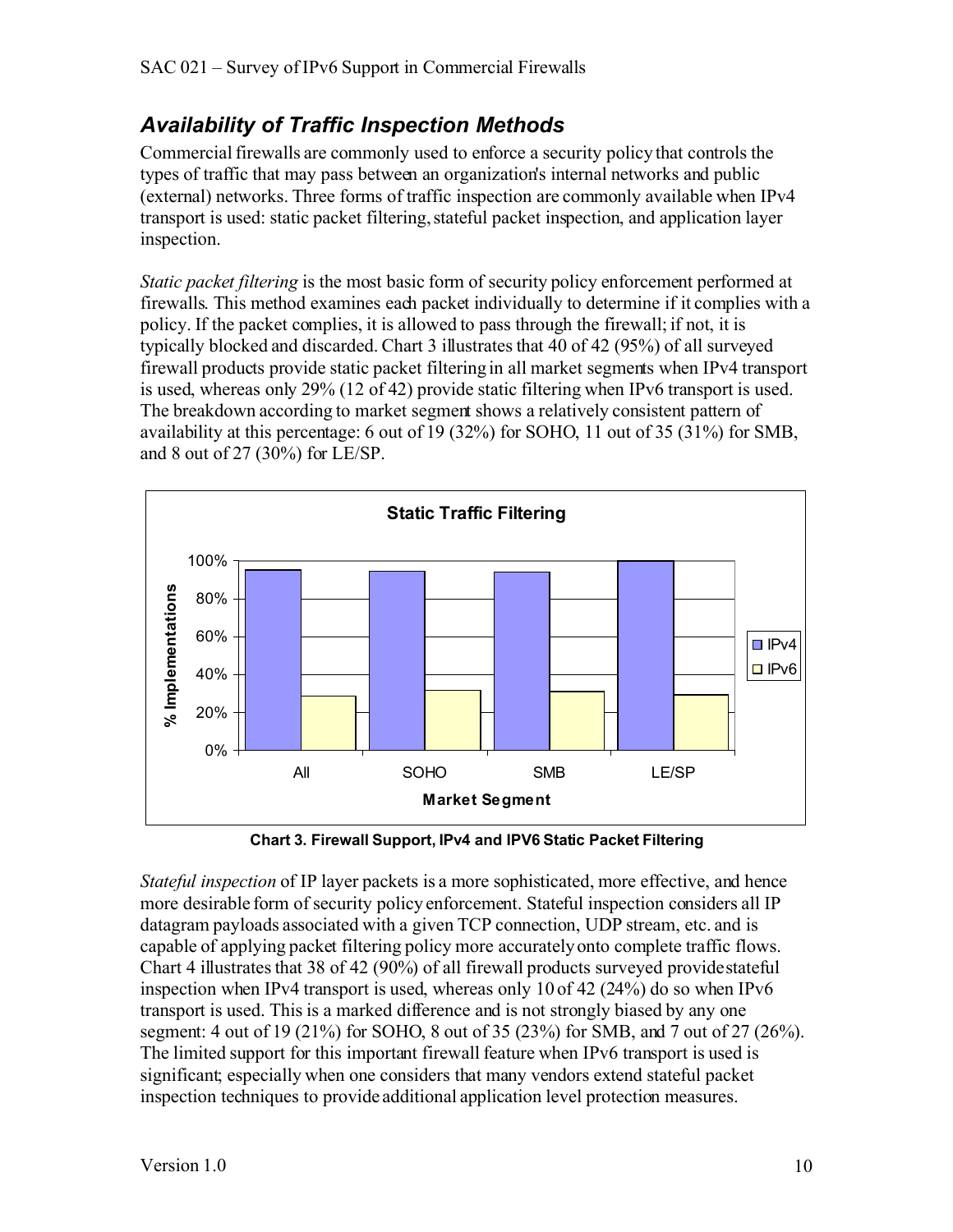#### *Availability of Traffic Inspection Methods*

Commercial firewalls are commonly used to enforce a security policy that controls the types of traffic that may pass between an organization's internal networks and public (external) networks. Three forms of traffic inspection are commonly available when IPv4 transport is used: static packet filtering, stateful packet inspection, and application layer inspection.

*Static packet filtering* is the most basic form of security policy enforcement performed at firewalls. This method examines each packet individually to determine if it complies with a policy. If the packet complies, it is allowed to pass through the firewall; if not, it is typically blocked and discarded. Chart 3 illustrates that 40 of 42 (95%) of all surveyed firewall products provide static packet filtering in all market segments when IPv4 transport is used, whereas only 29% (12 of 42) provide static filtering when IPv6 transport is used. The breakdown according to market segment shows a relatively consistent pattern of availability at this percentage: 6 out of 19 (32%) for SOHO, 11 out of 35 (31%) for SMB, and 8 out of 27 (30%) for LE/SP.



**Chart 3. Firewall Support, IPv4 and IPV6 Static Packet Filtering**

*Stateful inspection* of IP layer packets is a more sophisticated, more effective, and hence more desirable form of security policy enforcement. Stateful inspection considers all IP datagram payloads associated with a given TCP connection, UDP stream, etc. and is capable of applying packet filtering policy more accuratelyonto complete traffic flows. Chart 4 illustrates that 38 of 42 (90%) of all firewall products surveyed provide stateful inspection when IPv4 transport is used, whereas only 10 of 42 (24%) do so when IPv6 transport is used. This is a marked difference and is not strongly biased by any one segment: 4 out of 19 (21%) for SOHO, 8 out of 35 (23%) for SMB, and 7 out of 27 (26%). The limited support for this important firewall feature when IPv6 transport is used is significant; especially when one considers that many vendors extend stateful packet inspection techniques to provide additional application level protection measures.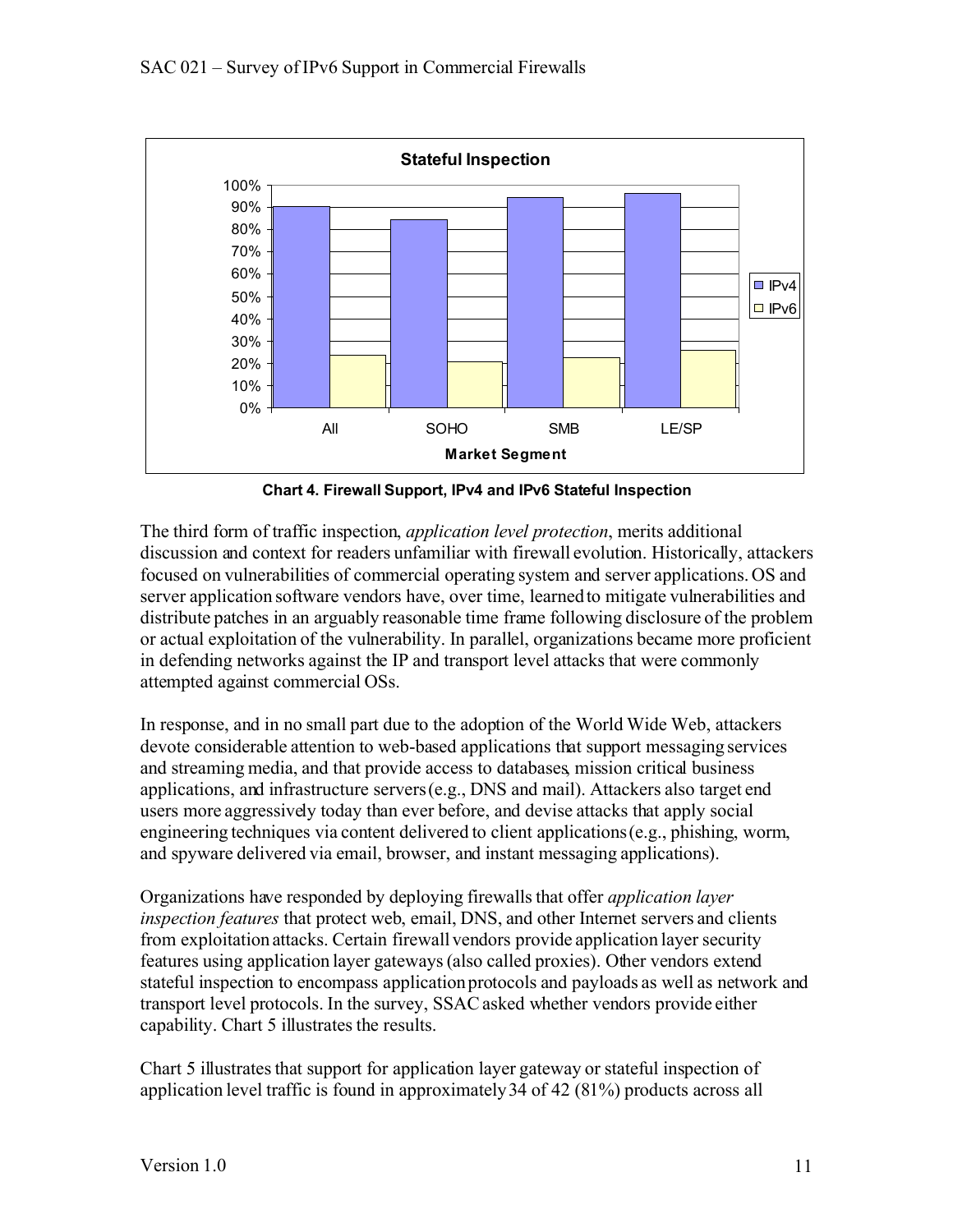

**Chart 4. Firewall Support, IPv4 and IPv6 Stateful Inspection**

The third form of traffic inspection, *application level protection*, merits additional discussion and context for readers unfamiliar with firewall evolution. Historically, attackers focused on vulnerabilities of commercial operating system and server applications. OS and server application software vendors have, over time, learned to mitigate vulnerabilities and distribute patches in an arguably reasonable time frame following disclosure of the problem or actual exploitation of the vulnerability. In parallel, organizations became more proficient in defending networks against the IP and transport level attacks that were commonly attempted against commercial OSs.

In response, and in no small part due to the adoption of the World Wide Web, attackers devote considerable attention to web-based applications that support messaging services and streaming media, and that provide access to databases, mission critical business applications, and infrastructure servers (e.g., DNS and mail). Attackers also target end users more aggressively today than ever before, and devise attacks that apply social engineering techniques via content delivered to client applications (e.g., phishing, worm, and spyware delivered via email, browser, and instant messaging applications).

Organizations have responded by deploying firewalls that offer *application layer inspection features* that protect web, email, DNS, and other Internet servers and clients from exploitation attacks. Certain firewall vendors provide application layer security features using application layer gateways (also called proxies). Other vendors extend stateful inspection to encompass application protocols and payloads as well as network and transport level protocols. In the survey, SSACasked whether vendors provide either capability. Chart 5 illustrates the results.

Chart 5 illustrates that support for application layer gateway or stateful inspection of application level traffic is found in approximately 34 of 42 (81%) products across all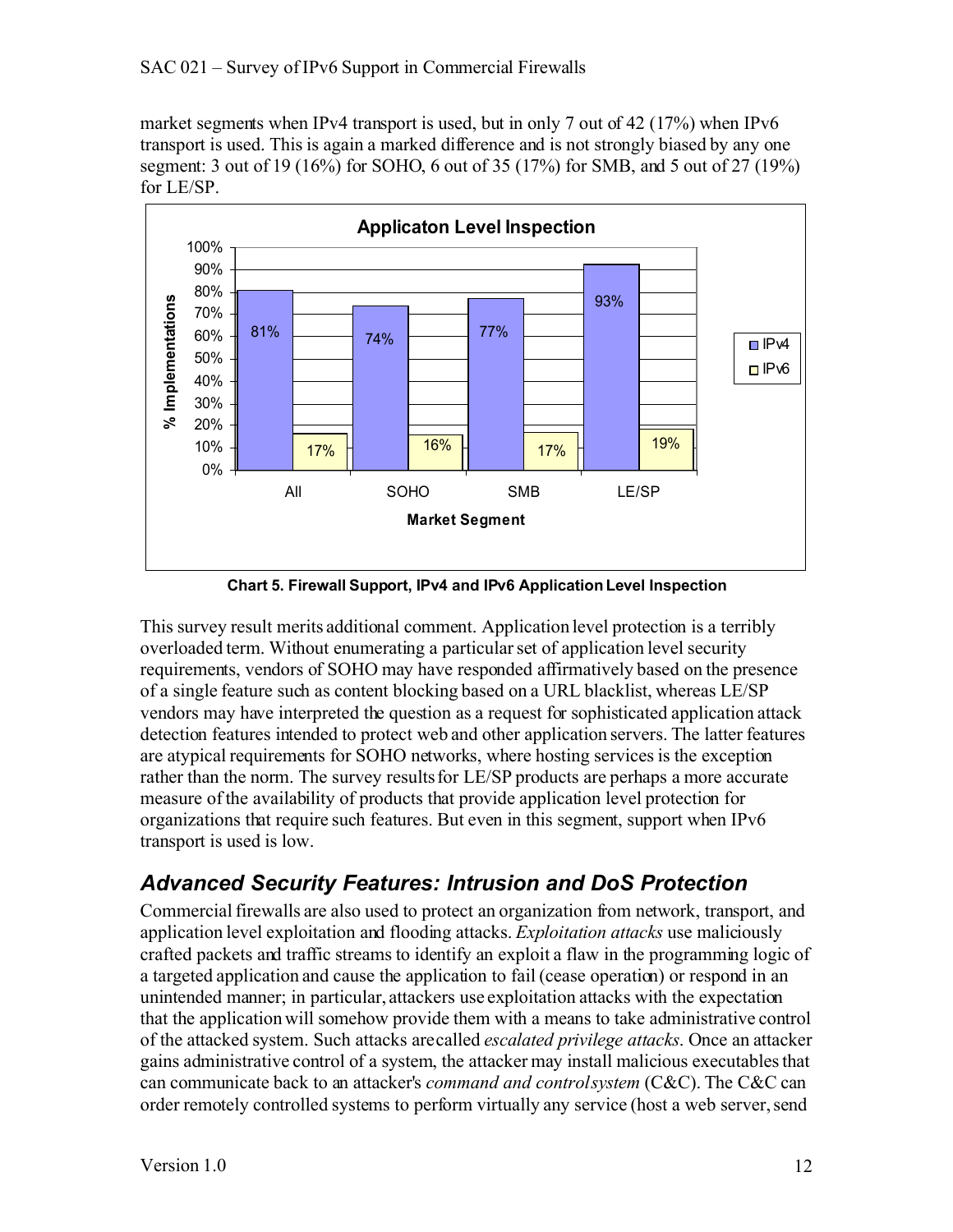market segments when IPv4 transport is used, but in only 7 out of 42 (17%) when IPv6 transport is used. This is again a marked difference and is not strongly biased by any one segment: 3 out of 19 (16%) for SOHO, 6 out of 35 (17%) for SMB, and 5 out of 27 (19%) for LE/SP.



**Chart 5. Firewall Support, IPv4 and IPv6 Application Level Inspection**

This survey result merits additional comment. Application level protection is a terribly overloaded term. Without enumerating a particularset of application level security requirements, vendors of SOHO may have responded affirmatively based on the presence of a single feature such as content blocking based on a URL blacklist, whereas LE/SP vendors may have interpreted the question as a request for sophisticated application attack detection features intended to protect web and other application servers. The latter features are atypical requirements for SOHO networks, where hosting services is the exception rather than the norm. The survey results for LE/SP products are perhaps a more accurate measure ofthe availability of products that provide application level protection for organizations that require such features. But even in this segment, support when IPv6 transport is used is low.

### *Advanced Security Features: Intrusion and DoS Protection*

Commercial firewalls are also used to protect an organization from network, transport, and application level exploitation and flooding attacks. *Exploitation attacks* use maliciously crafted packets and traffic streams to identify an exploit a flaw in the programming logic of a targeted application and cause the application to fail (cease operation) or respond in an unintended manner; in particular, attackers use exploitation attacks with the expectation that the application will somehow provide them with a means to take administrative control of the attacked system. Such attacks are called *escalated privilege attacks*. Once an attacker gains administrative control of a system, the attacker may install malicious executables that can communicate back to an attacker's *command and control system* (C&C). The C&C can order remotely controlled systems to perform virtually any service (host a web server, send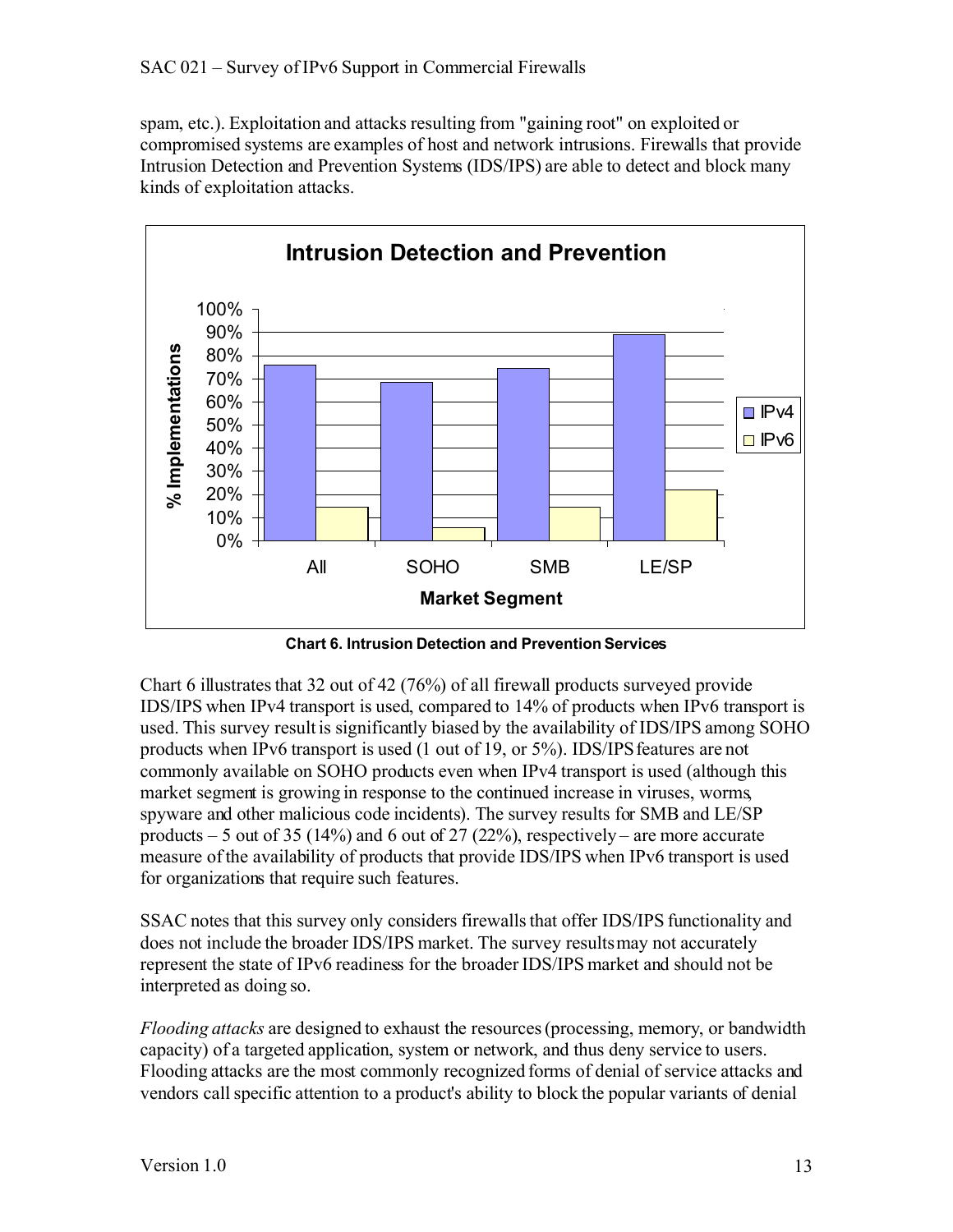spam, etc.). Exploitation and attacks resulting from "gaining root" on exploited or compromised systems are examples of host and network intrusions. Firewalls that provide Intrusion Detection and Prevention Systems (IDS/IPS) are able to detect and block many kinds of exploitation attacks.



**Chart 6. Intrusion Detection and Prevention Services**

Chart 6 illustrates that 32 out of 42 (76%) of all firewall products surveyed provide IDS/IPS when IPv4 transport is used, compared to 14% of products when IPv6 transport is used. This survey result is significantly biased by the availability of IDS/IPS among SOHO products when IPv6 transport is used (1 out of 19, or 5%). IDS/IPSfeatures are not commonly available on SOHO products even when IPv4 transport is used (although this market segment is growing in response to the continued increase in viruses, worms, spyware and other malicious code incidents). The survey results for SMB and LE/SP products  $-5$  out of 35 (14%) and 6 out of 27 (22%), respectively – are more accurate measure ofthe availability of products that provide IDS/IPS when IPv6 transport is used for organizations that require such features.

SSAC notes that this survey only considers firewalls that offer IDS/IPS functionality and does not include the broader IDS/IPS market. The survey results may not accurately represent the state of IPv6 readiness for the broader IDS/IPS market and should not be interpreted as doing so.

*Flooding attacks* are designed to exhaust the resources (processing, memory, or bandwidth capacity) of a targeted application, system or network, and thus deny service to users. Flooding attacks are the most commonly recognized forms of denial of service attacks and vendors call specific attention to a product's ability to block the popular variants of denial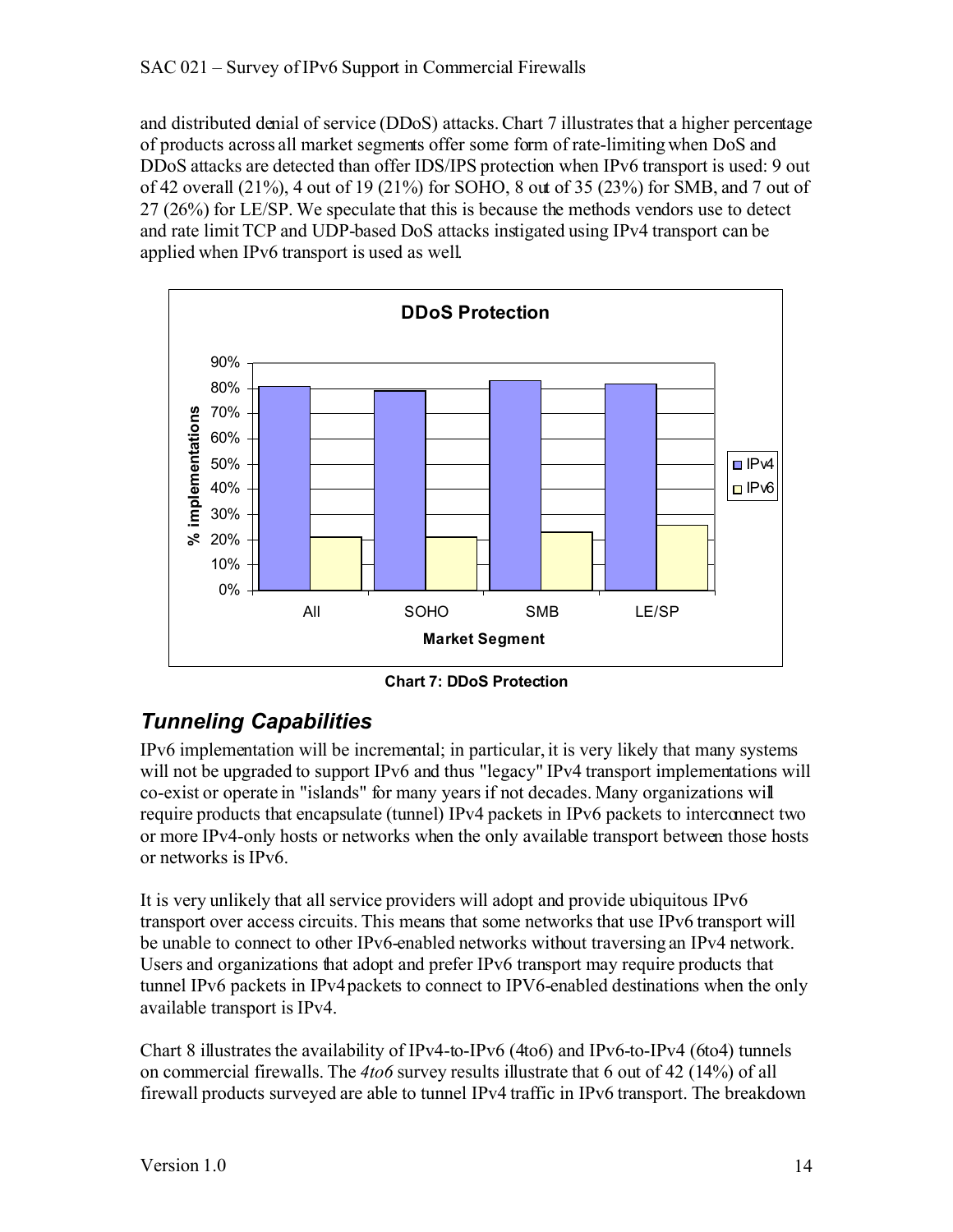and distributed denial of service (DDoS) attacks. Chart 7 illustrates that a higher percentage of products across all market segments offer some form of rate-limiting when DoS and DDoS attacks are detected than offer IDS/IPS protection when IPv6 transport is used: 9 out of 42 overall (21%), 4 out of 19 (21%) for SOHO, 8 out of 35 (23%) for SMB, and 7 out of 27 (26%) for LE/SP. We speculate that this is because the methods vendors use to detect and rate limit TCP and UDP-based DoS attacks instigated using IPv4 transport can be applied when IPv6 transport is used as well.



**Chart 7: DDoS Protection**

### *Tunneling Capabilities*

IPv6 implementation will be incremental; in particular, it is very likely that many systems will not be upgraded to support IPv6 and thus "legacy" IPv4 transport implementations will co-exist or operate in "islands" for many years if not decades. Many organizations will require products that encapsulate (tunnel) IPv4 packets in IPv6 packets to interconnect two or more IPv4-only hosts or networks when the only available transport between those hosts or networks is IPv6.

It is very unlikely that all service providers will adopt and provide ubiquitous IPv6 transport over access circuits. This means that some networks that use IPv6 transport will be unable to connect to other IPv6-enabled networks without traversing an IPv4 network. Users and organizations that adopt and prefer IPv6 transport may require products that tunnel IPv6 packets in IPv4 packets to connect to IPV6-enabled destinations when the only available transport is IPv4.

Chart 8 illustrates the availability of IPv4-to-IPv6 (4to6) and IPv6-to-IPv4 (6to4) tunnels on commercial firewalls. The *4to6* survey results illustrate that 6 out of 42 (14%) of all firewall products surveyed are able to tunnel IPv4 traffic in IPv6 transport. The breakdown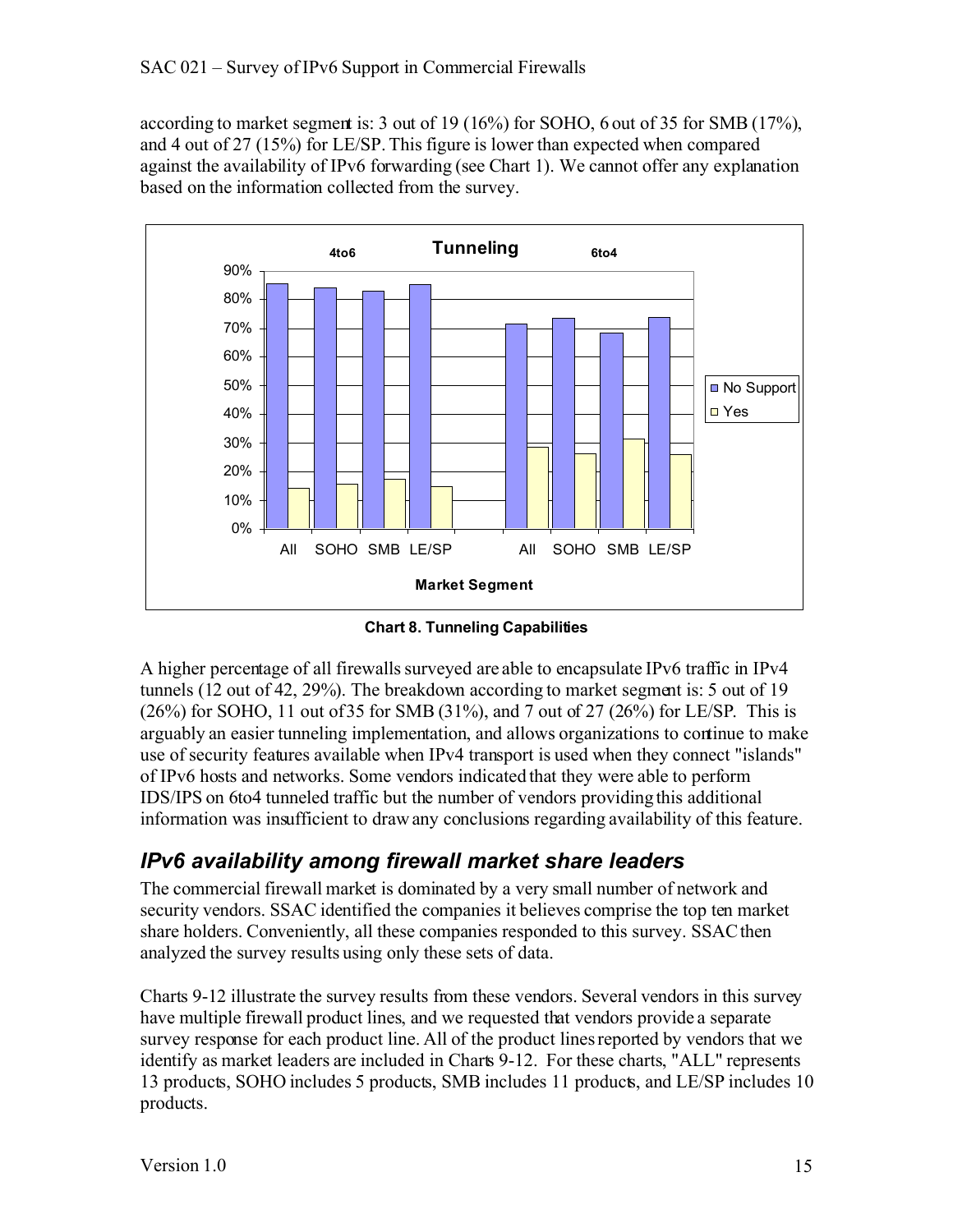according to market segment is: 3 out of 19 (16%) for SOHO, 6 out of 35 for SMB (17%), and 4 out of 27 (15%) for LE/SP. This figure is lower than expected when compared against the availability of IPv6 forwarding (see Chart 1). We cannot offer any explanation based on the information collected from the survey.



**Chart 8. Tunneling Capabilities**

A higher percentage of all firewalls surveyed are able to encapsulate IPv6 traffic in IPv4 tunnels (12 out of 42, 29%). The breakdown according to market segment is: 5 out of 19 (26%) for SOHO, 11 out of 35 for SMB (31%), and 7 out of 27 (26%) for LE/SP. This is arguably an easier tunneling implementation, and allows organizations to continue to make use of security features available when IPv4 transport is used when they connect "islands" of IPv6 hosts and networks. Some vendors indicated that they were able to perform IDS/IPS on 6to4 tunneled traffic but the number of vendors providing this additional information was insufficient to draw any conclusions regarding availability of this feature.

#### *IPv6 availability among firewall market share leaders*

The commercial firewall market is dominated by a very small number of network and security vendors. SSAC identified the companies it believes comprise the top ten market share holders. Conveniently, all these companies responded to this survey. SSAC then analyzed the survey results using only these sets of data.

Charts 9-12 illustrate the survey results from these vendors. Several vendors in this survey have multiple firewall product lines, and we requested that vendors provide a separate survey response for each product line. All of the product lines reported by vendors that we identify as market leaders are included in Charts 9-12. For these charts, "ALL" represents 13 products, SOHO includes 5 products, SMB includes 11 products, and LE/SP includes 10 products.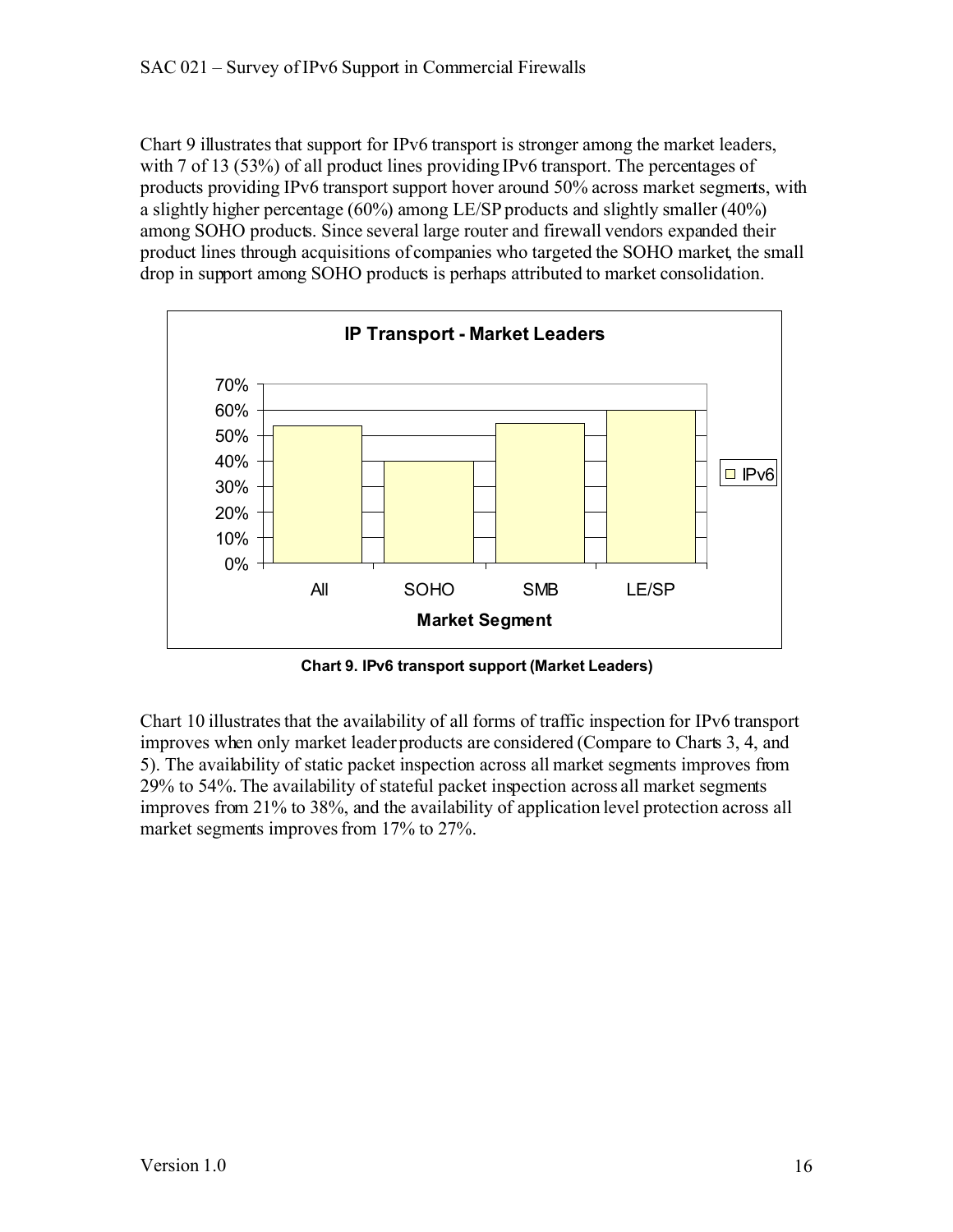Chart 9 illustrates that support for IPv6 transport is stronger among the market leaders, with 7 of 13 (53%) of all product lines providing IPv6 transport. The percentages of products providing IPv6 transport support hover around 50% across market segments, with a slightly higher percentage (60%) among LE/SP products and slightly smaller (40%) among SOHO products. Since several large router and firewall vendors expanded their product lines through acquisitions of companies who targeted the SOHO market, the small drop in support among SOHO products is perhaps attributed to market consolidation.



**Chart 9. IPv6 transport support (Market Leaders)**

Chart 10 illustratesthat the availability of all forms of traffic inspection for IPv6 transport improves when only market leaderproducts are considered (Compare to Charts 3, 4, and 5). The availability of static packet inspection across all market segments improves from 29% to 54%. The availability of stateful packet inspection across all market segments improves from 21% to 38%, and the availability of application level protection across all market segments improves from 17% to 27%.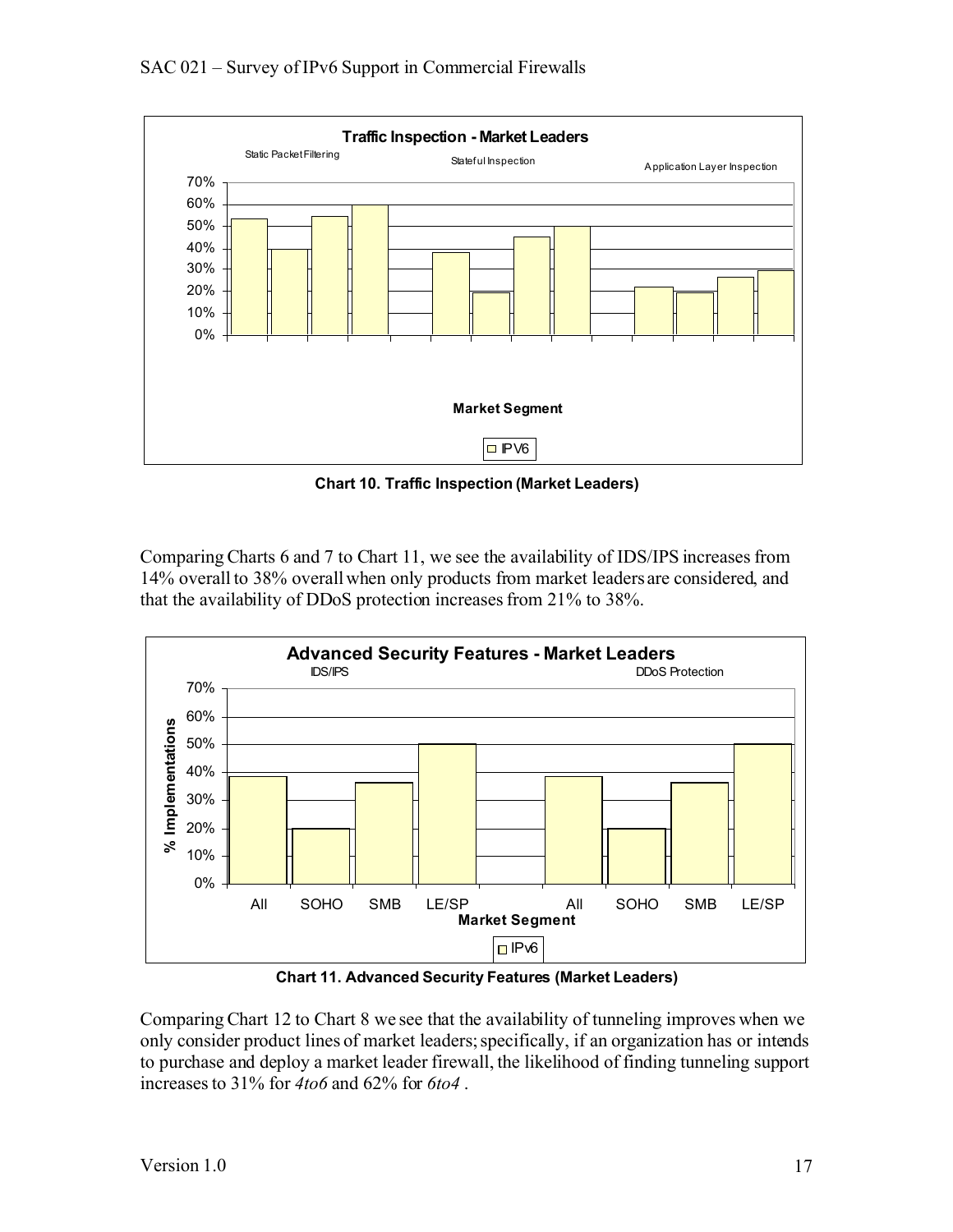

**Chart 10. Traffic Inspection (Market Leaders)**

Comparing Charts 6 and 7 to Chart 11, we see the availability of IDS/IPS increases from 14% overall to 38% overall when only products from market leaders are considered, and that the availability of DDoS protection increases from 21% to 38%.



**Chart 11. Advanced Security Features (Market Leaders)**

Comparing Chart 12 to Chart 8 we see that the availability of tunneling improves when we only consider product lines of market leaders; specifically, if an organization has or intends to purchase and deploy a market leader firewall, the likelihood of finding tunneling support increases to 31% for *4to6* and 62% for *6to4* .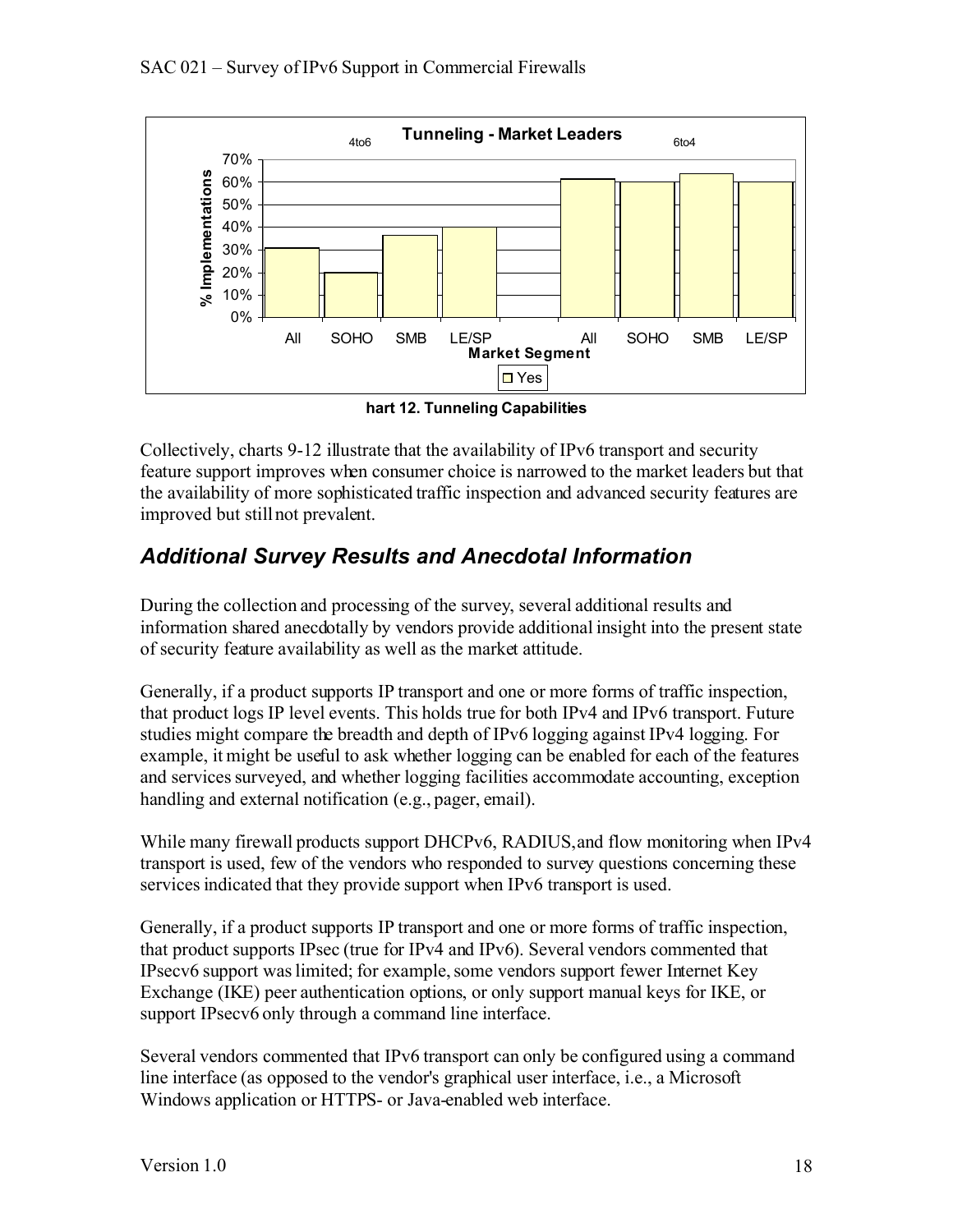

**hart 12. Tunneling Capabilities**

Collectively, charts 9-12 illustrate that the availability of IPv6 transport and security feature support improves when consumer choice is narrowed to the market leaders but that the availability of more sophisticated traffic inspection and advanced security features are improved but still not prevalent.

#### *Additional Survey Results and Anecdotal Information*

During the collection and processing of the survey, several additional results and information shared anecdotally by vendors provide additional insight into the present state of security feature availability as well as the market attitude.

Generally, if a product supports IP transport and one or more forms of traffic inspection, that product logs IP level events. This holds true for both IPv4 and IPv6 transport. Future studies might compare the breadth and depth of IPv6 logging against IPv4 logging. For example, it might be useful to ask whether logging can be enabled for each of the features and services surveyed, and whether logging facilities accommodate accounting, exception handling and external notification (e.g., pager, email).

While many firewall products support DHCPv6, RADIUS, and flow monitoring when IPv4 transport is used, few of the vendors who responded to survey questions concerning these services indicated that they provide support when IPv6 transport is used.

Generally, if a product supports IP transport and one or more forms of traffic inspection, that product supports IPsec (true for IPv4 and IPv6). Several vendors commented that IPsecv6 support was limited; for example, some vendors support fewer Internet Key Exchange (IKE) peer authentication options, or only support manual keys for IKE, or support IPsecv6 only through a command line interface.

Several vendors commented that IPv6 transport can only be configured using a command line interface (as opposed to the vendor's graphical user interface, i.e., a Microsoft Windows application or HTTPS- or Java-enabled web interface.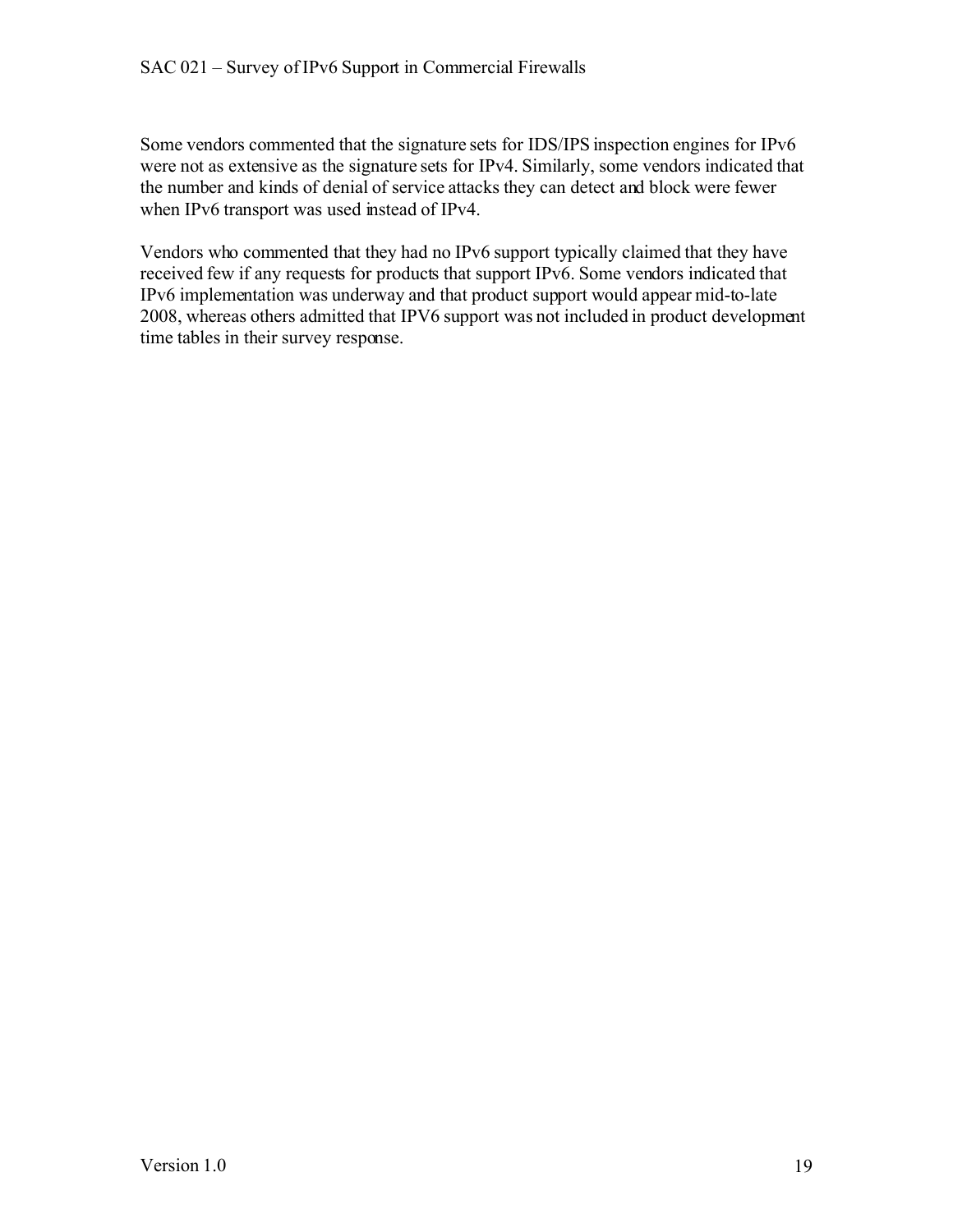Some vendors commented that the signature sets for IDS/IPS inspection engines for IPv6 were not as extensive as the signature sets for IPv4. Similarly, some vendors indicated that the number and kinds of denial of service attacks they can detect and block were fewer when IPv6 transport was used instead of IPv4.

Vendors who commented that they had no IPv6 support typically claimed that they have received few if any requests for products that support IPv6. Some vendors indicated that IPv6 implementation was underway and that product support would appear mid-to-late 2008, whereas others admitted that IPV6 support was not included in product development time tables in their survey response.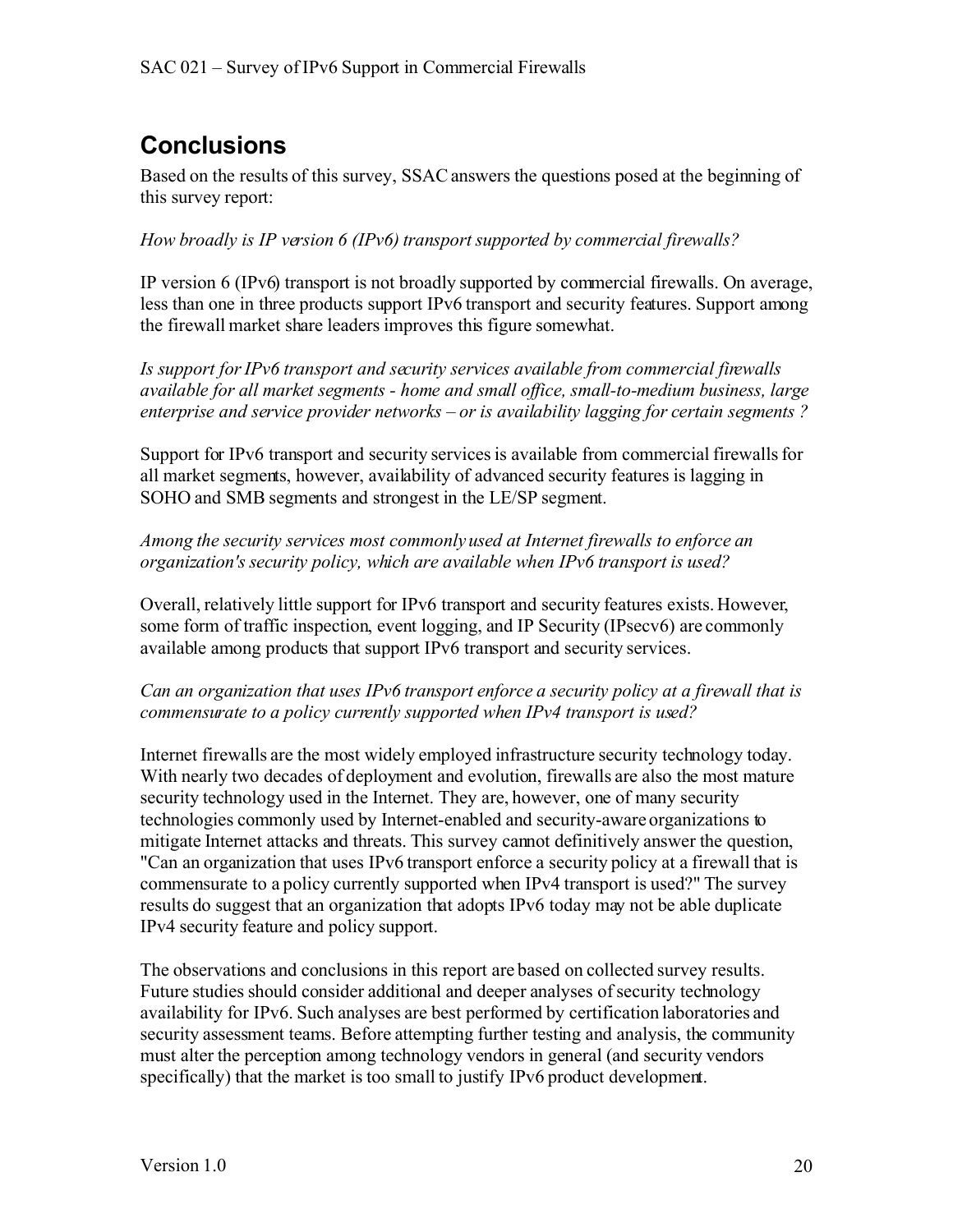# **Conclusions**

Based on the results of this survey, SSAC answers the questions posed at the beginning of this survey report:

*How broadly is IP version 6 (IPv6) transport supported by commercial firewalls?*

IP version 6 (IPv6) transport is not broadly supported by commercial firewalls. On average, less than one in three products support IPv6 transport and security features. Support among the firewall market share leaders improves this figure somewhat.

*Is support forIPv6 transport and security services available from commercial firewalls available for all market segments - home and small office, small-to-medium business, large enterprise and service provider networks – or is availability lagging for certain segments ?*

Support for IPv6 transport and security services is available from commercial firewalls for all market segments, however, availability of advanced security features is lagging in SOHO and SMB segments and strongest in the LE/SP segment.

*Among the security services most commonly used at Internet firewalls to enforce an organization's security policy, which are available when IPv6 transport is used?*

Overall, relatively little support for IPv6 transport and security features exists. However, some form of traffic inspection, event logging, and IP Security (IPsecv6) are commonly available among products that support IPv6 transport and security services.

*Can an organization that uses IPv6 transport enforce a security policy at a firewall that is commensurate to a policy currently supported when IPv4 transport is used?*

Internet firewalls are the most widely employed infrastructure security technology today. With nearly two decades of deployment and evolution, firewalls are also the most mature security technology used in the Internet. They are, however, one of many security technologies commonly used by Internet-enabled and security-aware organizations to mitigate Internet attacks and threats. This survey cannot definitively answer the question, "Can an organization that uses IPv6 transport enforce a security policy at a firewall that is commensurate to a policy currently supported when IPv4 transport is used?" The survey results do suggest that an organization that adopts IPv6 today may not be able duplicate IPv4 security feature and policy support.

The observations and conclusions in this report are based on collected survey results. Future studies should consider additional and deeper analyses ofsecurity technology availability for IPv6. Such analyses are best performed by certification laboratories and security assessment teams. Before attempting further testing and analysis, the community must alter the perception among technology vendors in general (and security vendors specifically) that the market is too small to justify IPv6 product development.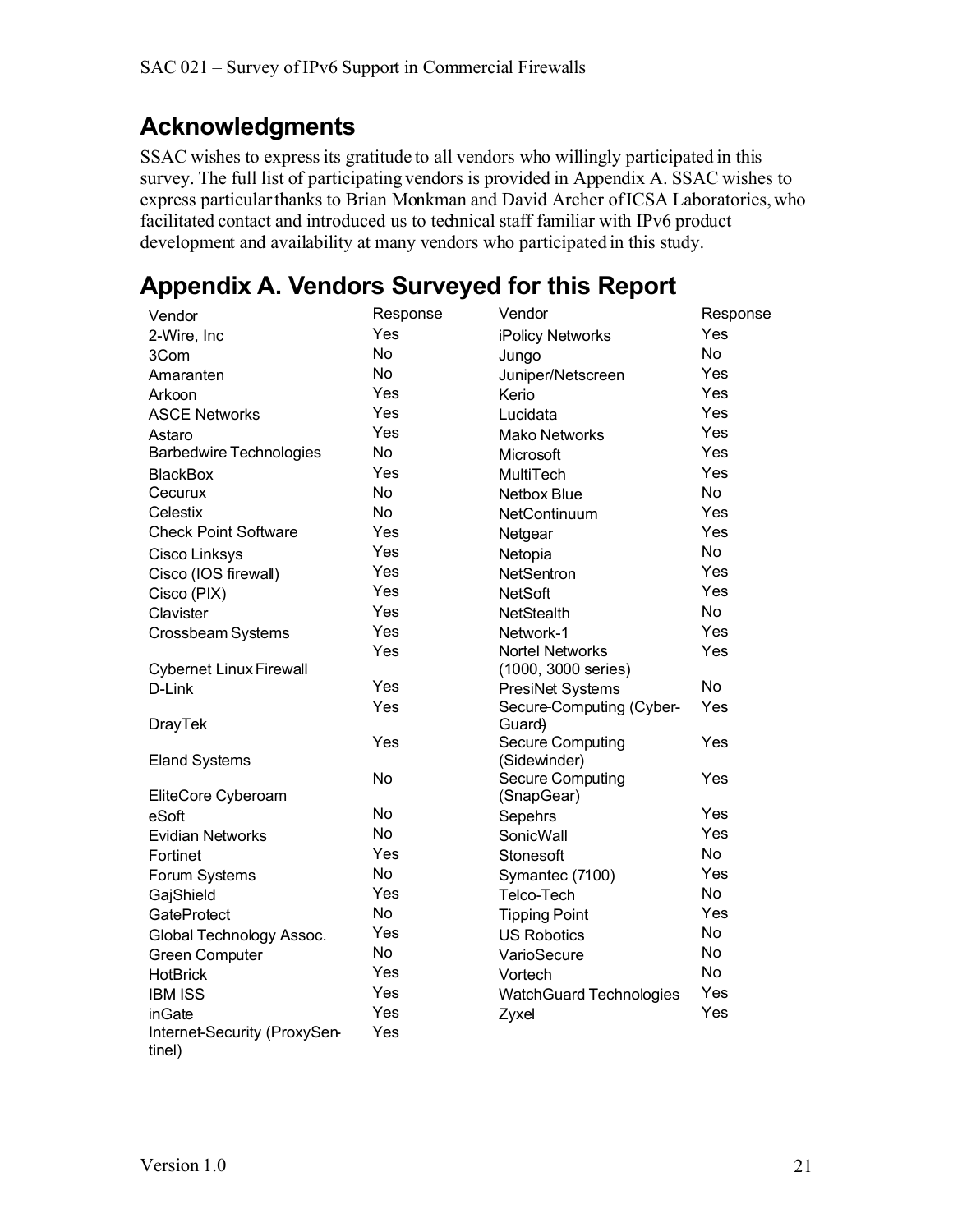## **Acknowledgments**

SSAC wishes to express its gratitude to all vendors who willingly participated in this survey. The full list of participating vendors is provided in Appendix A. SSAC wishes to express particular thanks to Brian Monkman and David Archer ofICSA Laboratories, who facilitated contact and introduced us to technical staff familiar with IPv6 product development and availability at many vendors who participated in this study.

# **Appendix A. Vendors Surveyed for this Report**

| Vendor                                 | Response  | Vendor                                  | Response  |
|----------------------------------------|-----------|-----------------------------------------|-----------|
| 2-Wire, Inc                            | Yes       | iPolicy Networks                        | Yes       |
| 3Com                                   | <b>No</b> | Jungo                                   | <b>No</b> |
| Amaranten                              | <b>No</b> | Juniper/Netscreen                       | Yes       |
| Arkoon                                 | Yes       | Kerio                                   | Yes       |
| <b>ASCE Networks</b>                   | Yes       | Lucidata                                | Yes       |
| Astaro                                 | Yes       | <b>Mako Networks</b>                    | Yes       |
| <b>Barbedwire Technologies</b>         | <b>No</b> | Microsoft                               | Yes       |
| <b>BlackBox</b>                        | Yes       | MultiTech                               | Yes       |
| Cecurux                                | <b>No</b> | Netbox Blue                             | <b>No</b> |
| Celestix                               | <b>No</b> | NetContinuum                            | Yes       |
| <b>Check Point Software</b>            | Yes       | Netgear                                 | Yes       |
| <b>Cisco Linksys</b>                   | Yes       | Netopia                                 | <b>No</b> |
| Cisco (IOS firewall)                   | Yes       | NetSentron                              | Yes       |
| Cisco (PIX)                            | Yes       | <b>NetSoft</b>                          | Yes       |
| Clavister                              | Yes       | NetStealth                              | <b>No</b> |
| Crossbeam Systems                      | Yes       | Network-1                               | Yes       |
|                                        | Yes       | Nortel Networks                         | Yes       |
| <b>Cybernet Linux Firewall</b>         |           | (1000, 3000 series)                     |           |
| D-Link                                 | Yes       | PresiNet Systems                        | <b>No</b> |
|                                        | Yes       | Secure-Computing (Cyber-                | Yes       |
| <b>DrayTek</b>                         |           | Guard)                                  |           |
| <b>Eland Systems</b>                   | Yes       | <b>Secure Computing</b><br>(Sidewinder) | Yes       |
|                                        | No        | <b>Secure Computing</b>                 | Yes       |
| EliteCore Cyberoam                     |           | (SnapGear)                              |           |
| eSoft                                  | <b>No</b> | Sepehrs                                 | Yes       |
| <b>Evidian Networks</b>                | <b>No</b> | SonicWall                               | Yes       |
| Fortinet                               | Yes       | Stonesoft                               | <b>No</b> |
| Forum Systems                          | <b>No</b> | Symantec (7100)                         | Yes       |
| GajShield                              | Yes       | Telco-Tech                              | <b>No</b> |
| GateProtect                            | <b>No</b> | <b>Tipping Point</b>                    | Yes       |
| Global Technology Assoc.               | Yes       | <b>US Robotics</b>                      | <b>No</b> |
| <b>Green Computer</b>                  | <b>No</b> | VarioSecure                             | <b>No</b> |
| <b>HotBrick</b>                        | Yes       | Vortech                                 | <b>No</b> |
| <b>IBM ISS</b>                         | Yes       | <b>WatchGuard Technologies</b>          | Yes       |
| inGate                                 | Yes       | Zyxel                                   | Yes       |
| Internet-Security (ProxySen-<br>tinel) | Yes       |                                         |           |